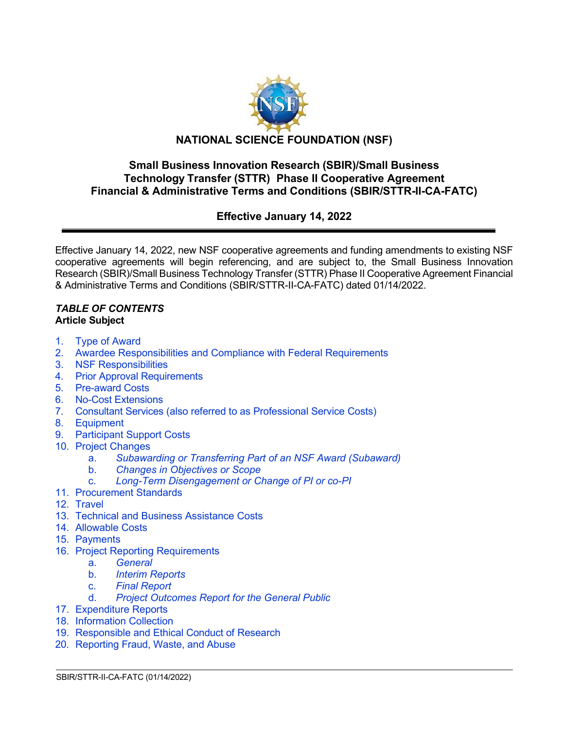

## **Small Business Innovation Research (SBIR)/Small Business Technology Transfer (STTR) Phase II Cooperative Agreement Financial & Administrative Terms and Conditions (SBIR/STTR-II-CA-FATC)**

# **Effective January 14, 2022**

Effective January 14, 2022, new NSF cooperative agreements and funding amendments to existing NSF cooperative agreements will begin referencing, and are subject to, the Small Business Innovation Research (SBIR)/Small Business Technology Transfer (STTR) Phase II Cooperative Agreement Financial & Administrative Terms and Conditions (SBIR/STTR-II-CA-FATC) dated 01/14/2022.

 $\overline{a}$ 

### *TABLE OF CONTENTS* **Article Subject**

- 1. [Type of Award](#page-1-0)
- 2. [Awardee Responsibilities and Compliance with Federal Requirements](#page-2-0)
- 3. [NSF Responsibilities](#page-3-0)
- 4. [Prior Approval Requirements](#page-3-1)
- 5. [Pre-award](#page-5-0) Costs
- 6. [No-Cost Extensions](#page-5-1)
- 7. Consultant Services (also referred to as [Professional Service](#page-5-2) Costs)
- 8. [Equipment](#page-5-3)
- [9. Participant Support Costs](#page-7-0)
- 10. [Project Changes](#page-7-1)
	- a. *[Subawarding or Transferring Part of an NSF Award \(Subaward\)](#page-7-2)*
	- b. *[Changes in Objectives or Scope](#page-8-0)*
	- c. *[Long-Term Disengagement or Change of PI or co-PI](#page-8-1)*
- 11. [Procurement Standards](#page-8-2)
- 12. [Travel](#page-8-3)
- 13. [Technical and Business Assistance Costs](#page-9-0)
- 14. [Allowable Costs](#page-10-0)
- 15. [Payments](#page-10-1)
- 16. [Project Reporting Requirements](#page-11-0)
	- a. *[General](#page-11-1)*
	- b. *[Interim Reports](#page-11-2)*
	- c. *[Final Report](#page-12-0)*
	- **[Project Outcomes Report for the General Public](#page-12-1)**
- 17. [Expenditure Reports](#page-12-2)
- 18. [Information Collection](#page-12-3)
- 19. Responsible [and Ethical Conduct](#page-13-0) of Research
- 20. [Reporting Fraud, Waste, and Abuse](#page-13-1)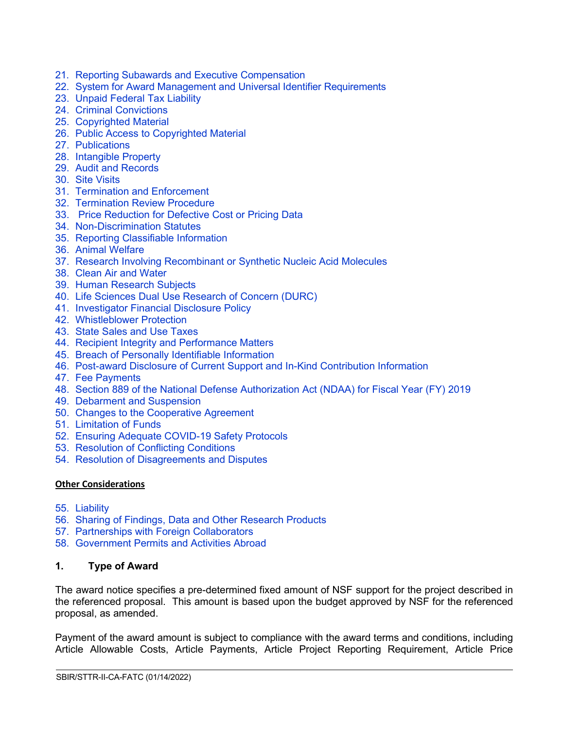- 21. Reporting Subawards and Executive [Compensation](#page-14-0)
- 22. [System for Award Management and](#page-17-0) Universal Identifier Requirements
- 23. [Unpaid Federal Tax Liability](#page-18-0)
- 24. [Criminal Convictions](#page-18-1)
- 25. [Copyrighted Material](#page-18-2)
- 26. [Public Access to Copyrighted Material](#page-19-0)
- 27. [Publications](#page-20-0)
- 28. [Intangible Property](#page-20-1)
- 29. [Audit and Records](#page-26-0)
- 30. [Site Visits](#page-26-1)
- 31. [Termination and Enforcement](#page-26-2)
- 32. [Termination Review Procedure](#page-27-0)
- 33. [Price Reduction for Defective Cost or Pricing Data](#page-28-0)
- 34. [Non-Discrimination Statutes](#page-29-0)
- 35. [Reporting Classifiable Information](#page-29-1)
- 36. [Animal Welfare](#page-29-2)
- 37. [Research Involving Recombinant or Synthetic Nucleic Acid Molecules](#page-30-0)
- 38. [Clean Air and Water](#page-30-1)
- 39. [Human Research Subjects](#page-30-2)
- 40. [Life Sciences Dual Use Research of Concern \(DURC\)](#page-30-3)
- 41. [Investigator Financial Disclosure Policy](#page-31-0)
- 42. [Whistleblower Protection](#page-31-1)
- 43. [State Sales and Use Taxes](#page-31-2)
- 44. [Recipient Integrity and Performance Matters](#page-31-3)
- 45. [Breach of Personally Identifiable Information](#page-31-4)
- 46. [Post-award Disclosure of Current Support and In-Kind Contribution Information](#page-31-5)
- 47. [Fee Payments](#page-33-0)
- 48. [Section 889 of the National Defense Authorization Act \(NDAA\) for Fiscal Year \(FY\) 2019](#page-33-1)
- 49. [Debarment and Suspension](#page-34-0)
- 50. [Changes to the Cooperative Agreement](#page-34-1)
- 51. [Limitation of Funds](#page-34-2)
- 52. [Ensuring Adequate COVID-19 Safety Protocols](#page-34-3)
- 53. [Resolution of Conflicting Conditions](#page-35-0)
- 54. [Resolution of Disagreements and Disputes](#page-35-1)

#### **Other Considerations**

- 55. [Liability](#page-36-0)
- 56. [Sharing of Findings, Data and Other Research Products](#page-36-1)
- 57. [Partnerships with Foreign Collaborators](#page-36-2)
- 58. Government [Permits and Activities Abroad](#page-36-3)

### <span id="page-1-0"></span>**1. Type of Award**

The award notice specifies a pre-determined fixed amount of NSF support for the project described in the referenced proposal. This amount is based upon the budget approved by NSF for the referenced proposal, as amended.

Payment of the award amount is subject to compliance with the award terms and conditions, including Article Allowable Costs, Article Payments, Article Project Reporting Requirement, Article Price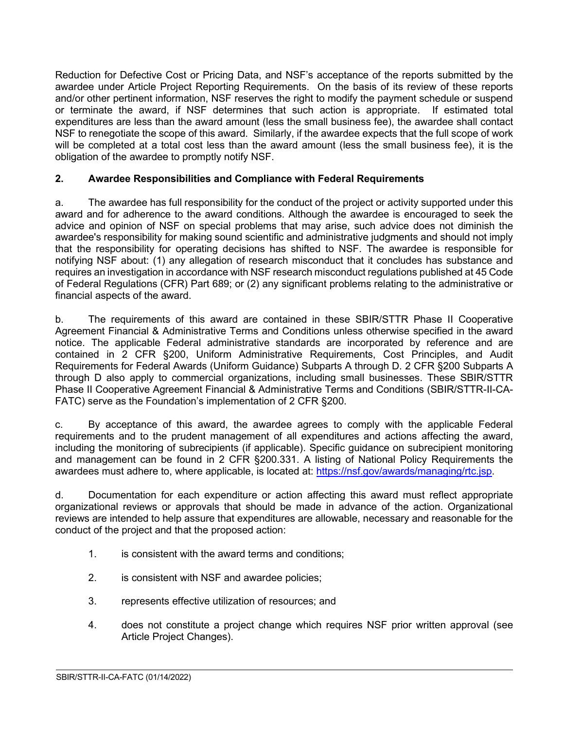Reduction for Defective Cost or Pricing Data, and NSF's acceptance of the reports submitted by the awardee under Article Project Reporting Requirements. On the basis of its review of these reports and/or other pertinent information, NSF reserves the right to modify the payment schedule or suspend or terminate the award, if NSF determines that such action is appropriate. If estimated total expenditures are less than the award amount (less the small business fee), the awardee shall contact NSF to renegotiate the scope of this award. Similarly, if the awardee expects that the full scope of work will be completed at a total cost less than the award amount (less the small business fee), it is the obligation of the awardee to promptly notify NSF.

## <span id="page-2-0"></span>**2. Awardee Responsibilities and Compliance with Federal Requirements**

a. The awardee has full responsibility for the conduct of the project or activity supported under this award and for adherence to the award conditions. Although the awardee is encouraged to seek the advice and opinion of NSF on special problems that may arise, such advice does not diminish the awardee's responsibility for making sound scientific and administrative judgments and should not imply that the responsibility for operating decisions has shifted to NSF. The awardee is responsible for notifying NSF about: (1) any allegation of research misconduct that it concludes has substance and requires an investigation in accordance with NSF research misconduct regulations published at 45 Code of Federal Regulations (CFR) Part 689; or (2) any significant problems relating to the administrative or financial aspects of the award.

b. The requirements of this award are contained in these SBIR/STTR Phase II Cooperative Agreement Financial & Administrative Terms and Conditions unless otherwise specified in the award notice. The applicable Federal administrative standards are incorporated by reference and are contained in 2 CFR §200, Uniform Administrative Requirements, Cost Principles, and Audit Requirements for Federal Awards (Uniform Guidance) Subparts A through D. 2 CFR §200 Subparts A through D also apply to commercial organizations, including small businesses. These SBIR/STTR Phase II Cooperative Agreement Financial & Administrative Terms and Conditions (SBIR/STTR-II-CA-FATC) serve as the Foundation's implementation of 2 CFR §200.

c. By acceptance of this award, the awardee agrees to comply with the applicable Federal requirements and to the prudent management of all expenditures and actions affecting the award, including the monitoring of subrecipients (if applicable). Specific guidance on subrecipient monitoring and management can be found in 2 CFR §200.331. A listing of National Policy Requirements the awardees must adhere to, where applicable, is located at: [https://nsf.gov/awards/managing/rtc.jsp.](https://nsf.gov/awards/managing/rtc.jsp)

d. Documentation for each expenditure or action affecting this award must reflect appropriate organizational reviews or approvals that should be made in advance of the action. Organizational reviews are intended to help assure that expenditures are allowable, necessary and reasonable for the conduct of the project and that the proposed action:

- 1. is consistent with the award terms and conditions;
- 2. is consistent with NSF and awardee policies;
- 3. represents effective utilization of resources; and
- 4. does not constitute a project change which requires NSF prior written approval (see Article Project Changes).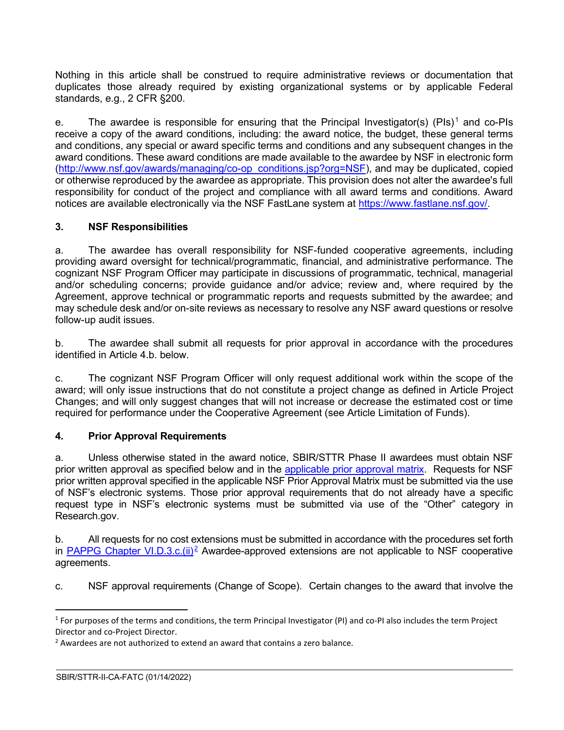Nothing in this article shall be construed to require administrative reviews or documentation that duplicates those already required by existing organizational systems or by applicable Federal standards, e.g., 2 CFR §200.

e. The awardee is responsible for ensuring that the Principal Investigator(s) (PIs)<sup>[1](#page-3-2)</sup> and co-PIs receive a copy of the award conditions, including: the award notice, the budget, these general terms and conditions, any special or award specific terms and conditions and any subsequent changes in the award conditions. These award conditions are made available to the awardee by NSF in electronic form [\(http://www.nsf.gov/awards/managing/co-op\\_conditions.jsp?org=NSF\)](http://www.nsf.gov/awards/managing/co-op_conditions.jsp?org=NSF), and may be duplicated, copied or otherwise reproduced by the awardee as appropriate. This provision does not alter the awardee's full responsibility for conduct of the project and compliance with all award terms and conditions. Award notices are available electronically via the NSF FastLane system at [https://www.fastlane.nsf.gov/.](https://www.fastlane.nsf.gov/)

## <span id="page-3-0"></span>**3. NSF Responsibilities**

a. The awardee has overall responsibility for NSF-funded cooperative agreements, including providing award oversight for technical/programmatic, financial, and administrative performance. The cognizant NSF Program Officer may participate in discussions of programmatic, technical, managerial and/or scheduling concerns; provide guidance and/or advice; review and, where required by the Agreement, approve technical or programmatic reports and requests submitted by the awardee; and may schedule desk and/or on-site reviews as necessary to resolve any NSF award questions or resolve follow-up audit issues.

b. The awardee shall submit all requests for prior approval in accordance with the procedures identified in Article 4.b. below.

c. The cognizant NSF Program Officer will only request additional work within the scope of the award; will only issue instructions that do not constitute a project change as defined in Article Project Changes; and will only suggest changes that will not increase or decrease the estimated cost or time required for performance under the Cooperative Agreement (see Article Limitation of Funds).

## <span id="page-3-1"></span>**4. Prior Approval Requirements**

a. Unless otherwise stated in the award notice, SBIR/STTR Phase II awardees must obtain NSF prior written approval as specified below and in the [applicable prior approval matrix.](https://www.nsf.gov/bfa/dias/policy/priorapprovals/march18.pdf) Requests for NSF prior written approval specified in the applicable NSF Prior Approval Matrix must be submitted via the use of NSF's electronic systems. Those prior approval requirements that do not already have a specific request type in NSF's electronic systems must be submitted via use of the "Other" category in Research.gov.

b. All requests for no cost extensions must be submitted in accordance with the procedures set forth in PAPPG Chapter VI.D.3.c. $(ii)^2$  Awardee-approved extensions are not applicable to NSF cooperative agreements.

c. NSF approval requirements (Change of Scope). Certain changes to the award that involve the

<span id="page-3-2"></span> $1$  For purposes of the terms and conditions, the term Principal Investigator (PI) and co-PI also includes the term Project Director and co-Project Director.

<span id="page-3-3"></span><sup>2</sup> Awardees are not authorized to extend an award that contains a zero balance.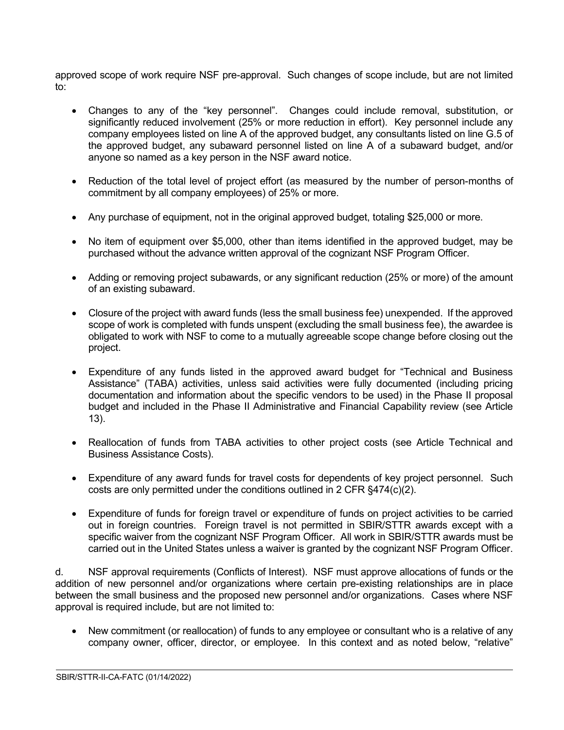approved scope of work require NSF pre-approval. Such changes of scope include, but are not limited to:

- Changes to any of the "key personnel". Changes could include removal, substitution, or significantly reduced involvement (25% or more reduction in effort). Key personnel include any company employees listed on line A of the approved budget, any consultants listed on line G.5 of the approved budget, any subaward personnel listed on line A of a subaward budget, and/or anyone so named as a key person in the NSF award notice.
- Reduction of the total level of project effort (as measured by the number of person-months of commitment by all company employees) of 25% or more.
- Any purchase of equipment, not in the original approved budget, totaling \$25,000 or more.
- No item of equipment over \$5,000, other than items identified in the approved budget, may be purchased without the advance written approval of the cognizant NSF Program Officer.
- Adding or removing project subawards, or any significant reduction (25% or more) of the amount of an existing subaward.
- Closure of the project with award funds (less the small business fee) unexpended. If the approved scope of work is completed with funds unspent (excluding the small business fee), the awardee is obligated to work with NSF to come to a mutually agreeable scope change before closing out the project.
- Expenditure of any funds listed in the approved award budget for "Technical and Business Assistance" (TABA) activities, unless said activities were fully documented (including pricing documentation and information about the specific vendors to be used) in the Phase II proposal budget and included in the Phase II Administrative and Financial Capability review (see Article 13).
- Reallocation of funds from TABA activities to other project costs (see Article Technical and Business Assistance Costs).
- Expenditure of any award funds for travel costs for dependents of key project personnel. Such costs are only permitted under the conditions outlined in 2 CFR §474(c)(2).
- Expenditure of funds for foreign travel or expenditure of funds on project activities to be carried out in foreign countries. Foreign travel is not permitted in SBIR/STTR awards except with a specific waiver from the cognizant NSF Program Officer. All work in SBIR/STTR awards must be carried out in the United States unless a waiver is granted by the cognizant NSF Program Officer.

d. NSF approval requirements (Conflicts of Interest). NSF must approve allocations of funds or the addition of new personnel and/or organizations where certain pre-existing relationships are in place between the small business and the proposed new personnel and/or organizations. Cases where NSF approval is required include, but are not limited to:

• New commitment (or reallocation) of funds to any employee or consultant who is a relative of any company owner, officer, director, or employee. In this context and as noted below, "relative"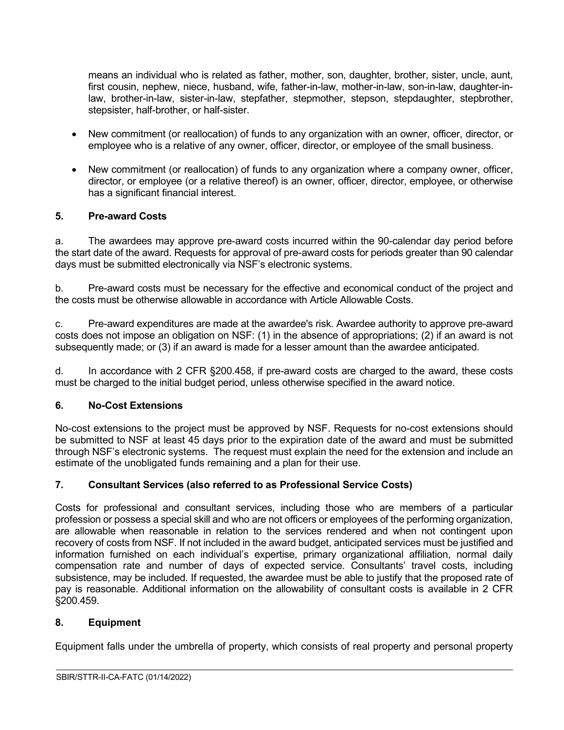means an individual who is related as father, mother, son, daughter, brother, sister, uncle, aunt, first cousin, nephew, niece, husband, wife, father-in-law, mother-in-law, son-in-law, daughter-inlaw, brother-in-law, sister-in-law, stepfather, stepmother, stepson, stepdaughter, stepbrother, stepsister, half-brother, or half-sister.

- New commitment (or reallocation) of funds to any organization with an owner, officer, director, or employee who is a relative of any owner, officer, director, or employee of the small business.
- New commitment (or reallocation) of funds to any organization where a company owner, officer, director, or employee (or a relative thereof) is an owner, officer, director, employee, or otherwise has a significant financial interest.

## <span id="page-5-0"></span>**5. Pre-award Costs**

a. The awardees may approve pre-award costs incurred within the 90-calendar day period before the start date of the award. Requests for approval of pre-award costs for periods greater than 90 calendar days must be submitted electronically via NSF's electronic systems.

b. Pre-award costs must be necessary for the effective and economical conduct of the project and the costs must be otherwise allowable in accordance with Article Allowable Costs.

c. Pre-award expenditures are made at the awardee's risk. Awardee authority to approve pre-award costs does not impose an obligation on NSF: (1) in the absence of appropriations; (2) if an award is not subsequently made; or (3) if an award is made for a lesser amount than the awardee anticipated.

d. In accordance with 2 CFR §200.458, if pre-award costs are charged to the award, these costs must be charged to the initial budget period, unless otherwise specified in the award notice.

### <span id="page-5-1"></span>**6. No-Cost Extensions**

No-cost extensions to the project must be approved by NSF. Requests for no-cost extensions should be submitted to NSF at least 45 days prior to the expiration date of the award and must be submitted through NSF's electronic systems. The request must explain the need for the extension and include an estimate of the unobligated funds remaining and a plan for their use.

## <span id="page-5-2"></span>**7. Consultant Services (also referred to as Professional Service Costs)**

Costs for professional and consultant services, including those who are members of a particular profession or possess a special skill and who are not officers or employees of the performing organization, are allowable when reasonable in relation to the services rendered and when not contingent upon recovery of costs from NSF. If not included in the award budget, anticipated services must be justified and information furnished on each individual's expertise, primary organizational affiliation, normal daily compensation rate and number of days of expected service. Consultants' travel costs, including subsistence, may be included. If requested, the awardee must be able to justify that the proposed rate of pay is reasonable. Additional information on the allowability of consultant costs is available in 2 CFR §200.459.

### <span id="page-5-3"></span>**8. Equipment**

Equipment falls under the umbrella of property, which consists of real property and personal property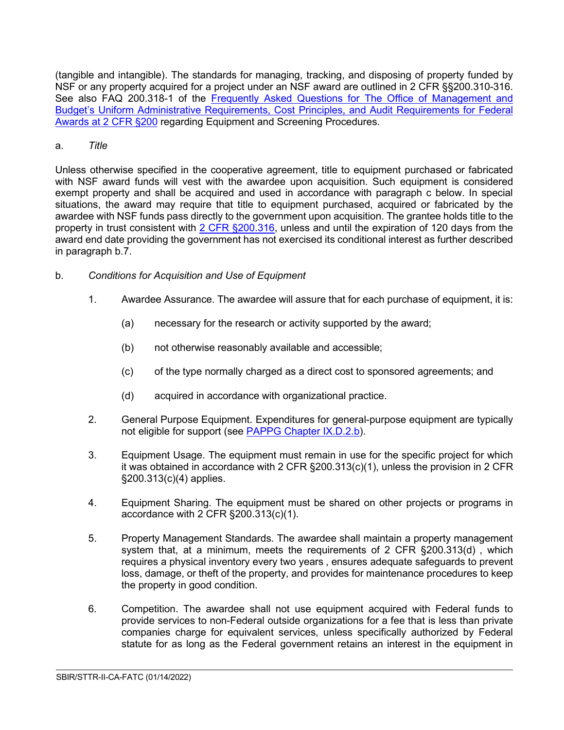(tangible and intangible). The standards for managing, tracking, and disposing of property funded by NSF or any property acquired for a project under an NSF award are outlined in 2 CFR §§200.310-316. See also FAQ 200.318-1 of the Frequently Asked Questions for The Office of Management and [Budget's Uniform Administrative Requirements, Cost Principles, and Audit Requirements for Federal](https://www.cfo.gov/assets/files/2CFR-FrequentlyAskedQuestions_2021050321.pdf)  [Awards at 2 CFR §200](https://www.cfo.gov/assets/files/2CFR-FrequentlyAskedQuestions_2021050321.pdf) regarding Equipment and Screening Procedures.

## a. *Title*

Unless otherwise specified in the cooperative agreement, title to equipment purchased or fabricated with NSF award funds will vest with the awardee upon acquisition. Such equipment is considered exempt property and shall be acquired and used in accordance with paragraph c below. In special situations, the award may require that title to equipment purchased, acquired or fabricated by the awardee with NSF funds pass directly to the government upon acquisition. The grantee holds title to the property in trust consistent with [2 CFR §200.316,](http://a257.g.akamaitech.net/7/257/2422/15mar20071500/edocket.access.gpo.gov/cfr_2007/janqtr/pdf/2cfr215.34.pdf) unless and until the expiration of 120 days from the award end date providing the government has not exercised its conditional interest as further described in paragraph b.7.

- b. *Conditions for Acquisition and Use of Equipment*
	- 1. Awardee Assurance. The awardee will assure that for each purchase of equipment, it is:
		- (a) necessary for the research or activity supported by the award;
		- (b) not otherwise reasonably available and accessible;
		- (c) of the type normally charged as a direct cost to sponsored agreements; and
		- (d) acquired in accordance with organizational practice.
	- 2. General Purpose Equipment. Expenditures for general-purpose equipment are typically not eligible for support (see [PAPPG Chapter IX.D.2.b\)](https://www.nsf.gov/pubs/policydocs/pappg22_1/pappg_9.jsp#IXD2).
	- 3. Equipment Usage. The equipment must remain in use for the specific project for which it was obtained in accordance with 2 CFR §200.313(c)(1), unless the provision in 2 CFR §200.313(c)(4) applies.
	- 4. Equipment Sharing. The equipment must be shared on other projects or programs in accordance with 2 CFR §200.313(c)(1).
	- 5. Property Management Standards. The awardee shall maintain a property management system that, at a minimum, meets the requirements of 2 CFR §200.313(d) , which requires a physical inventory every two years , ensures adequate safeguards to prevent loss, damage, or theft of the property, and provides for maintenance procedures to keep the property in good condition.
	- 6. Competition. The awardee shall not use equipment acquired with Federal funds to provide services to non-Federal outside organizations for a fee that is less than private companies charge for equivalent services, unless specifically authorized by Federal statute for as long as the Federal government retains an interest in the equipment in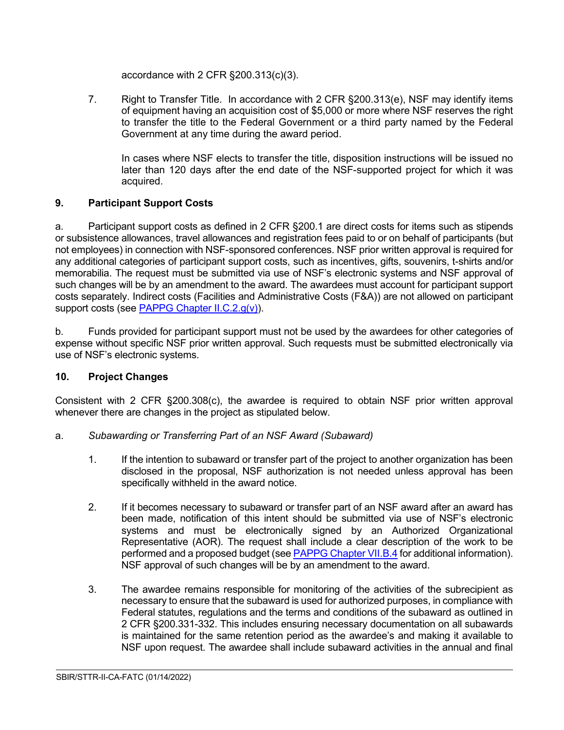accordance with 2 CFR §200.313(c)(3).

7. Right to Transfer Title. In accordance with 2 CFR §200.313(e), NSF may identify items of equipment having an acquisition cost of \$5,000 or more where NSF reserves the right to transfer the title to the Federal Government or a third party named by the Federal Government at any time during the award period.

In cases where NSF elects to transfer the title, disposition instructions will be issued no later than 120 days after the end date of the NSF-supported project for which it was acquired.

## <span id="page-7-0"></span>**9. Participant Support Costs**

a. Participant support costs as defined in 2 CFR §200.1 are direct costs for items such as stipends or subsistence allowances, travel allowances and registration fees paid to or on behalf of participants (but not employees) in connection with NSF-sponsored conferences. NSF prior written approval is required for any additional categories of participant support costs, such as incentives, gifts, souvenirs, t-shirts and/or memorabilia. The request must be submitted via use of NSF's electronic systems and NSF approval of such changes will be by an amendment to the award. The awardees must account for participant support costs separately. Indirect costs (Facilities and Administrative Costs (F&A)) are not allowed on participant support costs (see [PAPPG Chapter II.C.2.g\(v\)\)](https://www.nsf.gov/pubs/policydocs/pappg22_1/pappg_2.jsp#IIC2gv).

b. Funds provided for participant support must not be used by the awardees for other categories of expense without specific NSF prior written approval. Such requests must be submitted electronically via use of NSF's electronic systems.

## <span id="page-7-1"></span>**10. Project Changes**

Consistent with 2 CFR §200.308(c), the awardee is required to obtain NSF prior written approval whenever there are changes in the project as stipulated below.

- <span id="page-7-2"></span>a. *Subawarding or Transferring Part of an NSF Award (Subaward)*
	- 1. If the intention to subaward or transfer part of the project to another organization has been disclosed in the proposal, NSF authorization is not needed unless approval has been specifically withheld in the award notice.
	- 2. If it becomes necessary to subaward or transfer part of an NSF award after an award has been made, notification of this intent should be submitted via use of NSF's electronic systems and must be electronically signed by an Authorized Organizational Representative (AOR). The request shall include a clear description of the work to be performed and a proposed budget (see [PAPPG Chapter VII.B.4](https://www.nsf.gov/pubs/policydocs/pappg22_1/pappg_7.jsp#VIIB4) for additional information). NSF approval of such changes will be by an amendment to the award.
	- 3. The awardee remains responsible for monitoring of the activities of the subrecipient as necessary to ensure that the subaward is used for authorized purposes, in compliance with Federal statutes, regulations and the terms and conditions of the subaward as outlined in 2 CFR §200.331-332. This includes ensuring necessary documentation on all subawards is maintained for the same retention period as the awardee's and making it available to NSF upon request. The awardee shall include subaward activities in the annual and final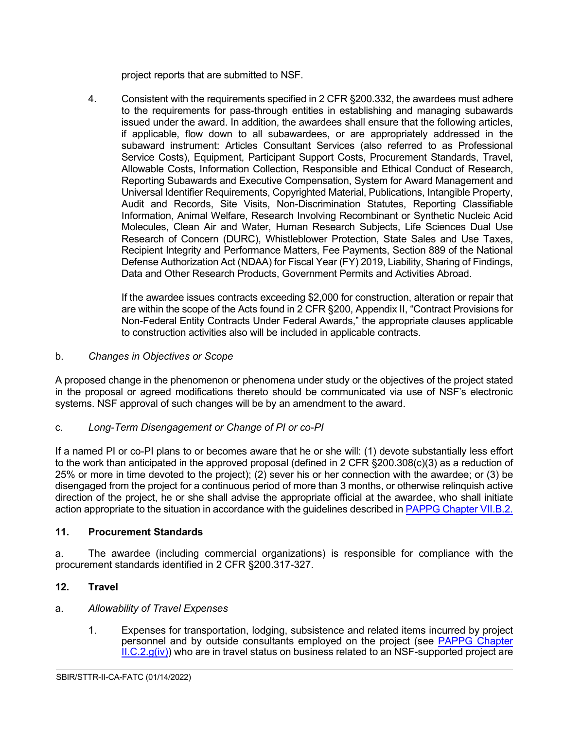project reports that are submitted to NSF.

4. Consistent with the requirements specified in 2 CFR §200.332, the awardees must adhere to the requirements for pass-through entities in establishing and managing subawards issued under the award. In addition, the awardees shall ensure that the following articles, if applicable, flow down to all subawardees, or are appropriately addressed in the subaward instrument: Articles Consultant Services (also referred to as Professional Service Costs), Equipment, Participant Support Costs, Procurement Standards, Travel, Allowable Costs, Information Collection, Responsible and Ethical Conduct of Research, Reporting Subawards and Executive Compensation, System for Award Management and Universal Identifier Requirements, Copyrighted Material, Publications, Intangible Property, Audit and Records, Site Visits, Non-Discrimination Statutes, Reporting Classifiable Information, Animal Welfare, Research Involving Recombinant or Synthetic Nucleic Acid Molecules, Clean Air and Water, Human Research Subjects, Life Sciences Dual Use Research of Concern (DURC), Whistleblower Protection, State Sales and Use Taxes, Recipient Integrity and Performance Matters, Fee Payments, Section 889 of the National Defense Authorization Act (NDAA) for Fiscal Year (FY) 2019, Liability, Sharing of Findings, Data and Other Research Products, Government Permits and Activities Abroad.

If the awardee issues contracts exceeding \$2,000 for construction, alteration or repair that are within the scope of the Acts found in 2 CFR §200, Appendix II, "Contract Provisions for Non-Federal Entity Contracts Under Federal Awards," the appropriate clauses applicable to construction activities also will be included in applicable contracts.

<span id="page-8-0"></span>b. *Changes in Objectives or Scope*

A proposed change in the phenomenon or phenomena under study or the objectives of the project stated in the proposal or agreed modifications thereto should be communicated via use of NSF's electronic systems. NSF approval of such changes will be by an amendment to the award.

## <span id="page-8-1"></span>c. *Long-Term Disengagement or Change of PI or co-PI*

If a named PI or co-PI plans to or becomes aware that he or she will: (1) devote substantially less effort to the work than anticipated in the approved proposal (defined in 2 CFR §200.308(c)(3) as a reduction of 25% or more in time devoted to the project); (2) sever his or her connection with the awardee; or (3) be disengaged from the project for a continuous period of more than 3 months, or otherwise relinquish active direction of the project, he or she shall advise the appropriate official at the awardee, who shall initiate action appropriate to the situation in accordance with the guidelines described in [PAPPG Chapter VII.B.2.](https://www.nsf.gov/pubs/policydocs/pappg22_1/pappg_7.jsp#VIIB2)

## <span id="page-8-2"></span>**11. Procurement Standards**

a. The awardee (including commercial organizations) is responsible for compliance with the procurement standards identified in 2 CFR §200.317-327.

# <span id="page-8-3"></span>**12. Travel**

## a. *Allowability of Travel Expenses*

1. Expenses for transportation, lodging, subsistence and related items incurred by project personnel and by outside consultants employed on the project (see [PAPPG Chapter](https://www.nsf.gov/pubs/policydocs/pappg22_1/pappg_2.jsp#IIC2giv)   $ILC.2.g(iv)$  who are in travel status on business related to an NSF-supported project are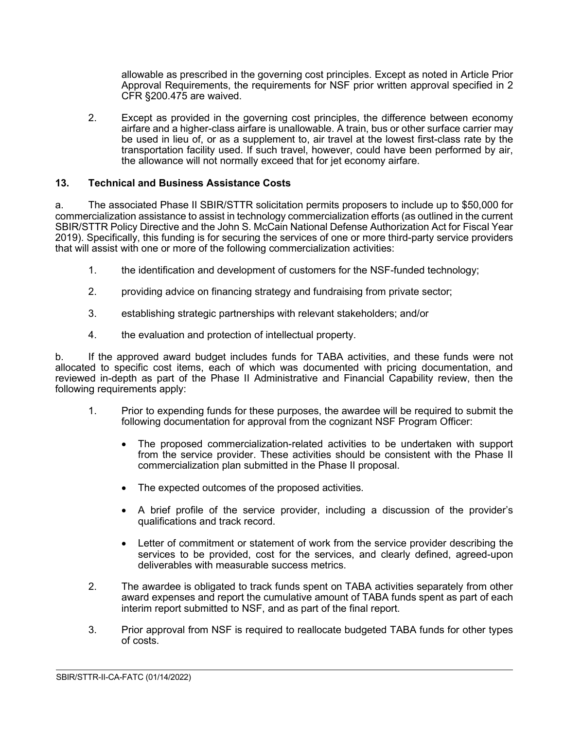allowable as prescribed in the governing cost principles. Except as noted in Article Prior Approval Requirements, the requirements for NSF prior written approval specified in 2 CFR §200.475 are waived.

2. Except as provided in the governing cost principles, the difference between economy airfare and a higher-class airfare is unallowable. A train, bus or other surface carrier may be used in lieu of, or as a supplement to, air travel at the lowest first-class rate by the transportation facility used. If such travel, however, could have been performed by air, the allowance will not normally exceed that for jet economy airfare.

### <span id="page-9-0"></span>**13. Technical and Business Assistance Costs**

a. The associated Phase II SBIR/STTR solicitation permits proposers to include up to \$50,000 for commercialization assistance to assist in technology commercialization efforts (as outlined in the current SBIR/STTR Policy Directive and the John S. McCain National Defense Authorization Act for Fiscal Year 2019). Specifically, this funding is for securing the services of one or more third-party service providers that will assist with one or more of the following commercialization activities:

- 1. the identification and development of customers for the NSF-funded technology;
- 2. providing advice on financing strategy and fundraising from private sector;
- 3. establishing strategic partnerships with relevant stakeholders; and/or
- 4. the evaluation and protection of intellectual property.

b. If the approved award budget includes funds for TABA activities, and these funds were not allocated to specific cost items, each of which was documented with pricing documentation, and reviewed in-depth as part of the Phase II Administrative and Financial Capability review, then the following requirements apply:

- 1. Prior to expending funds for these purposes, the awardee will be required to submit the following documentation for approval from the cognizant NSF Program Officer:
	- The proposed commercialization-related activities to be undertaken with support from the service provider. These activities should be consistent with the Phase II commercialization plan submitted in the Phase II proposal.
	- The expected outcomes of the proposed activities.
	- A brief profile of the service provider, including a discussion of the provider's qualifications and track record.
	- Letter of commitment or statement of work from the service provider describing the services to be provided, cost for the services, and clearly defined, agreed-upon deliverables with measurable success metrics.
- 2. The awardee is obligated to track funds spent on TABA activities separately from other award expenses and report the cumulative amount of TABA funds spent as part of each interim report submitted to NSF, and as part of the final report.
- 3. Prior approval from NSF is required to reallocate budgeted TABA funds for other types of costs.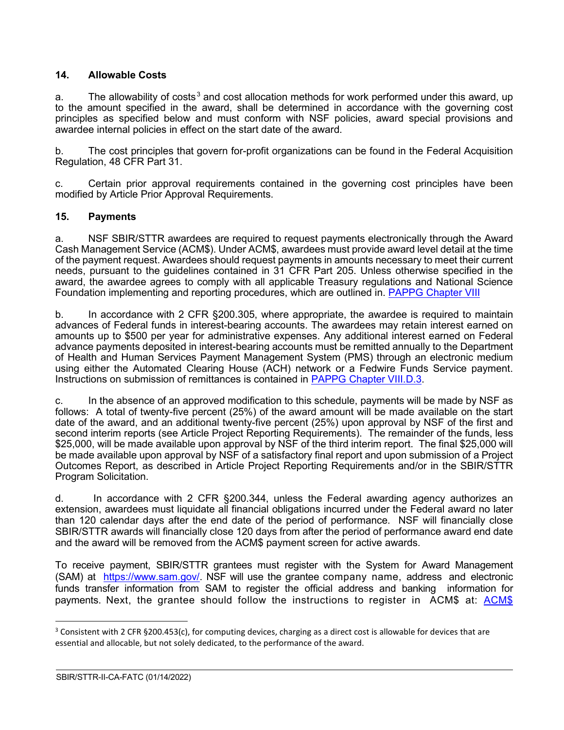## <span id="page-10-0"></span>**14. Allowable Costs**

a. The allowability of costs<sup>[3](#page-10-2)</sup> and cost allocation methods for work performed under this award, up to the amount specified in the award, shall be determined in accordance with the governing cost principles as specified below and must conform with NSF policies, award special provisions and awardee internal policies in effect on the start date of the award.

b. The cost principles that govern for-profit organizations can be found in the Federal Acquisition Regulation, 48 CFR Part 31.

c. Certain prior approval requirements contained in the governing cost principles have been modified by Article Prior Approval Requirements.

## <span id="page-10-1"></span>**15. Payments**

a. NSF SBIR/STTR awardees are required to request payments electronically through the Award Cash Management Service (ACM\$). Under ACM\$, awardees must provide award level detail at the time of the payment request. Awardees should request payments in amounts necessary to meet their current needs, pursuant to the guidelines contained in 31 CFR Part 205. Unless otherwise specified in the award, the awardee agrees to comply with all applicable Treasury regulations and National Science Foundation implementing and reporting procedures, which are outlined in. [PAPPG Chapter VIII](https://www.nsf.gov/pubs/policydocs/pappg22_1/pappg_8.jsp)

b. In accordance with 2 CFR §200.305, where appropriate, the awardee is required to maintain advances of Federal funds in interest-bearing accounts. The awardees may retain interest earned on amounts up to \$500 per year for administrative expenses. Any additional interest earned on Federal advance payments deposited in interest-bearing accounts must be remitted annually to the Department of Health and Human Services Payment Management System (PMS) through an electronic medium using either the Automated Clearing House (ACH) network or a Fedwire Funds Service payment. Instructions on submission of remittances is contained in [PAPPG Chapter VIII.D.3.](https://www.nsf.gov/pubs/policydocs/pappg22_1/pappg_8.jsp#VIIID3)

c. In the absence of an approved modification to this schedule, payments will be made by NSF as follows: A total of twenty-five percent (25%) of the award amount will be made available on the start date of the award, and an additional twenty-five percent (25%) upon approval by NSF of the first and second interim reports (see Article Project Reporting Requirements). The remainder of the funds, less \$25,000, will be made available upon approval by NSF of the third interim report. The final \$25,000 will be made available upon approval by NSF of a satisfactory final report and upon submission of a Project Outcomes Report, as described in Article Project Reporting Requirements and/or in the SBIR/STTR Program Solicitation.

d. In accordance with 2 CFR §200.344, unless the Federal awarding agency authorizes an extension, awardees must liquidate all financial obligations incurred under the Federal award no later than 120 calendar days after the end date of the period of performance. NSF will financially close SBIR/STTR awards will financially close 120 days from after the period of performance award end date and the award will be removed from the ACM\$ payment screen for active awards.

To receive payment, SBIR/STTR grantees must register with the System for Award Management (SAM) at [https://www.sam.gov/.](https://www.sam.gov/) NSF will use the grantee company name, address and electronic funds transfer information from SAM to register the official address and banking information for payments. Next, the grantee should follow the instructions to register in ACM\$ at: [ACM\\$](https://www.research.gov/research-portal/appmanager/base/desktop?_nfpb=true&_pageLabel=research_node_display&_nodePath=/researchGov/Service/Desktop/InstitutionAndUserManagement.html)

<span id="page-10-2"></span> $3$  Consistent with 2 CFR §200.453(c), for computing devices, charging as a direct cost is allowable for devices that are essential and allocable, but not solely dedicated, to the performance of the award.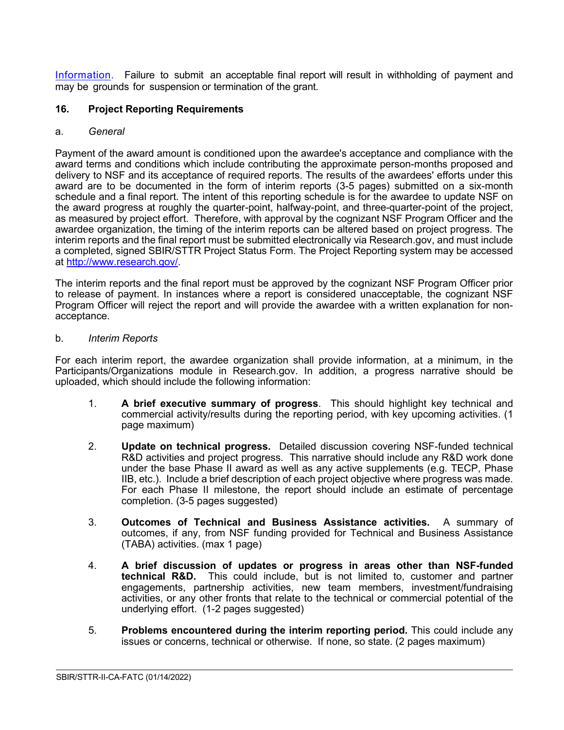[Information.](https://www.research.gov/research-portal/appmanager/base/desktop?_nfpb=true&_pageLabel=research_node_display&_nodePath=/researchGov/Service/Desktop/InstitutionAndUserManagement.html) Failure to submit an acceptable final report will result in withholding of payment and may be grounds for suspension or termination of the grant.

#### <span id="page-11-0"></span>**16. Project Reporting Requirements**

#### <span id="page-11-1"></span>a. *General*

Payment of the award amount is conditioned upon the awardee's acceptance and compliance with the award terms and conditions which include contributing the approximate person-months proposed and delivery to NSF and its acceptance of required reports. The results of the awardees' efforts under this award are to be documented in the form of interim reports (3-5 pages) submitted on a six-month schedule and a final report. The intent of this reporting schedule is for the awardee to update NSF on the award progress at roughly the quarter-point, halfway-point, and three-quarter-point of the project, as measured by project effort. Therefore, with approval by the cognizant NSF Program Officer and the awardee organization, the timing of the interim reports can be altered based on project progress. The interim reports and the final report must be submitted electronically via Research.gov, and must include a completed, signed SBIR/STTR Project Status Form. The Project Reporting system may be accessed at [http://www.research.gov/.](http://www.research.gov/)

The interim reports and the final report must be approved by the cognizant NSF Program Officer prior to release of payment. In instances where a report is considered unacceptable, the cognizant NSF Program Officer will reject the report and will provide the awardee with a written explanation for nonacceptance.

#### <span id="page-11-2"></span>b. *Interim Reports*

For each interim report, the awardee organization shall provide information, at a minimum, in the Participants/Organizations module in Research.gov. In addition, a progress narrative should be uploaded, which should include the following information:

- 1. **A brief executive summary of progress**. This should highlight key technical and commercial activity/results during the reporting period, with key upcoming activities. (1 page maximum)
- 2. **Update on technical progress.** Detailed discussion covering NSF-funded technical R&D activities and project progress. This narrative should include any R&D work done under the base Phase II award as well as any active supplements (e.g. TECP, Phase IIB, etc.). Include a brief description of each project objective where progress was made. For each Phase II milestone, the report should include an estimate of percentage completion. (3-5 pages suggested)
- 3. **Outcomes of Technical and Business Assistance activities.** A summary of outcomes, if any, from NSF funding provided for Technical and Business Assistance (TABA) activities. (max 1 page)
- 4. **A brief discussion of updates or progress in areas other than NSF-funded technical R&D.** This could include, but is not limited to, customer and partner engagements, partnership activities, new team members, investment/fundraising activities, or any other fronts that relate to the technical or commercial potential of the underlying effort. (1-2 pages suggested)
- 5. **Problems encountered during the interim reporting period.** This could include any issues or concerns, technical or otherwise. If none, so state. (2 pages maximum)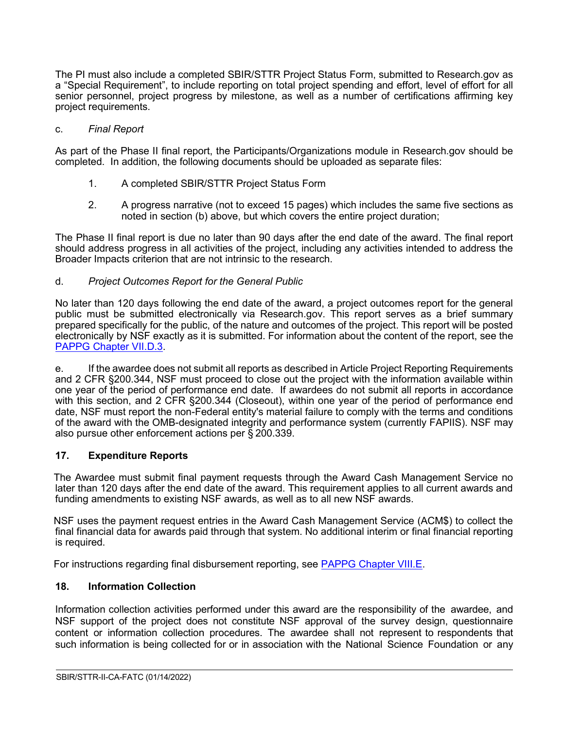The PI must also include a completed SBIR/STTR Project Status Form, submitted to Research.gov as a "Special Requirement", to include reporting on total project spending and effort, level of effort for all senior personnel, project progress by milestone, as well as a number of certifications affirming key project requirements.

#### <span id="page-12-0"></span>c. *Final Report*

As part of the Phase II final report, the Participants/Organizations module in Research.gov should be completed. In addition, the following documents should be uploaded as separate files:

- 1. A completed SBIR/STTR Project Status Form
- 2. A progress narrative (not to exceed 15 pages) which includes the same five sections as noted in section (b) above, but which covers the entire project duration;

The Phase II final report is due no later than 90 days after the end date of the award. The final report should address progress in all activities of the project, including any activities intended to address the Broader Impacts criterion that are not intrinsic to the research.

#### <span id="page-12-1"></span>d. *Project Outcomes Report for the General Public*

No later than 120 days following the end date of the award, a project outcomes report for the general public must be submitted electronically via Research.gov. This report serves as a brief summary prepared specifically for the public, of the nature and outcomes of the project. This report will be posted electronically by NSF exactly as it is submitted. For information about the content of the report, see the [PAPPG Chapter VII.D.3.](https://www.nsf.gov/pubs/policydocs/pappg22_1/pappg_7.jsp#VIID3)

e. If the awardee does not submit all reports as described in Article Project Reporting Requirements and 2 CFR §200.344, NSF must proceed to close out the project with the information available within one year of the period of performance end date. If awardees do not submit all reports in accordance with this section, and 2 CFR §200.344 (Closeout), within one year of the period of performance end date, NSF must report the non-Federal entity's material failure to comply with the terms and conditions of the award with the OMB-designated integrity and performance system (currently FAPIIS). NSF may also pursue other enforcement actions per § 200.339.

### <span id="page-12-2"></span>**17. Expenditure Reports**

The Awardee must submit final payment requests through the Award Cash Management Service no later than 120 days after the end date of the award. This requirement applies to all current awards and funding amendments to existing NSF awards, as well as to all new NSF awards.

NSF uses the payment request entries in the Award Cash Management Service (ACM\$) to collect the final financial data for awards paid through that system. No additional interim or final financial reporting is required.

For instructions regarding final disbursement reporting, see [PAPPG Chapter VIII.E.](https://nsf.gov/pubs/policydocs/pappg22_1/pappg_8.jsp#VIIIE)

### <span id="page-12-3"></span>**18. Information Collection**

Information collection activities performed under this award are the responsibility of the awardee, and NSF support of the project does not constitute NSF approval of the survey design, questionnaire content or information collection procedures. The awardee shall not represent to respondents that such information is being collected for or in association with the National Science Foundation or any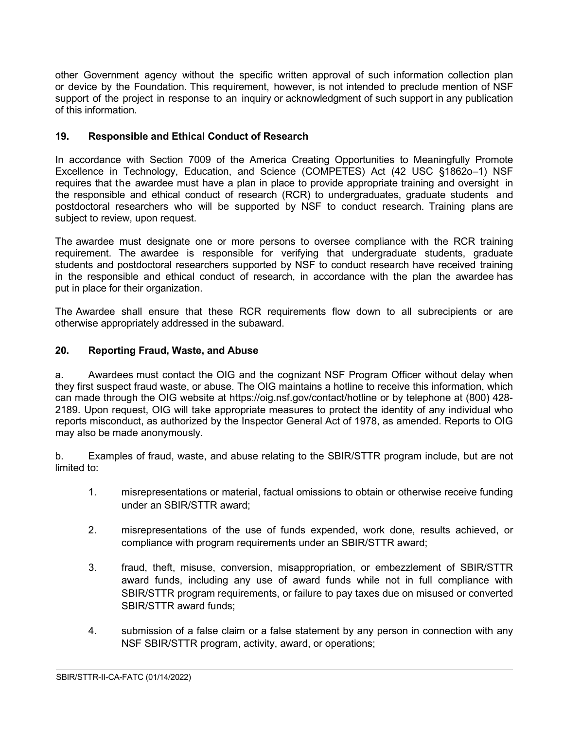other Government agency without the specific written approval of such information collection plan or device by the Foundation. This requirement, however, is not intended to preclude mention of NSF support of the project in response to an inquiry or acknowledgment of such support in any publication of this information.

## <span id="page-13-0"></span>**19. Responsible and Ethical Conduct of Research**

In accordance with Section 7009 of the America Creating Opportunities to Meaningfully Promote Excellence in Technology, Education, and Science (COMPETES) Act (42 USC §1862o–1) NSF requires that the awardee must have a plan in place to provide appropriate training and oversight in the responsible and ethical conduct of research (RCR) to undergraduates, graduate students and postdoctoral researchers who will be supported by NSF to conduct research. Training plans are subject to review, upon request.

The awardee must designate one or more persons to oversee compliance with the RCR training requirement. The awardee is responsible for verifying that undergraduate students, graduate students and postdoctoral researchers supported by NSF to conduct research have received training in the responsible and ethical conduct of research, in accordance with the plan the awardee has put in place for their organization.

The Awardee shall ensure that these RCR requirements flow down to all subrecipients or are otherwise appropriately addressed in the subaward.

## <span id="page-13-1"></span>**20. Reporting Fraud, Waste, and Abuse**

a. Awardees must contact the OIG and the cognizant NSF Program Officer without delay when they first suspect fraud waste, or abuse. The OIG maintains a hotline to receive this information, which can made through the OIG website at https://oig.nsf.gov/contact/hotline or by telephone at (800) 428- 2189. Upon request, OIG will take appropriate measures to protect the identity of any individual who reports misconduct, as authorized by the Inspector General Act of 1978, as amended. Reports to OIG may also be made anonymously.

b. Examples of fraud, waste, and abuse relating to the SBIR/STTR program include, but are not limited to:

- 1. misrepresentations or material, factual omissions to obtain or otherwise receive funding under an SBIR/STTR award;
- 2. misrepresentations of the use of funds expended, work done, results achieved, or compliance with program requirements under an SBIR/STTR award;
- 3. fraud, theft, misuse, conversion, misappropriation, or embezzlement of SBIR/STTR award funds, including any use of award funds while not in full compliance with SBIR/STTR program requirements, or failure to pay taxes due on misused or converted SBIR/STTR award funds;
- 4. submission of a false claim or a false statement by any person in connection with any NSF SBIR/STTR program, activity, award, or operations;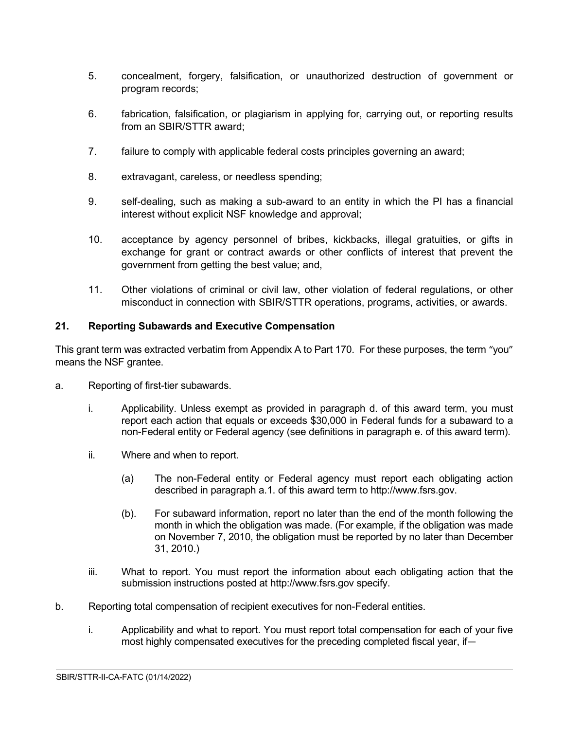- 5. concealment, forgery, falsification, or unauthorized destruction of government or program records;
- 6. fabrication, falsification, or plagiarism in applying for, carrying out, or reporting results from an SBIR/STTR award;
- 7. failure to comply with applicable federal costs principles governing an award;
- 8. extravagant, careless, or needless spending;
- 9. self-dealing, such as making a sub-award to an entity in which the PI has a financial interest without explicit NSF knowledge and approval;
- 10. acceptance by agency personnel of bribes, kickbacks, illegal gratuities, or gifts in exchange for grant or contract awards or other conflicts of interest that prevent the government from getting the best value; and,
- 11. Other violations of criminal or civil law, other violation of federal regulations, or other misconduct in connection with SBIR/STTR operations, programs, activities, or awards.

## <span id="page-14-0"></span>**21. Reporting Subawards and Executive Compensation**

This grant term was extracted verbatim from Appendix A to Part 170. For these purposes, the term "you" means the NSF grantee.

- a. Reporting of first-tier subawards.
	- i. Applicability. Unless exempt as provided in paragraph d. of this award term, you must report each action that equals or exceeds \$30,000 in Federal funds for a subaward to a non-Federal entity or Federal agency (see definitions in paragraph e. of this award term).
	- ii. Where and when to report.
		- (a) The non-Federal entity or Federal agency must report each obligating action described in paragraph a.1. of this award term to http://www.fsrs.gov.
		- (b). For subaward information, report no later than the end of the month following the month in which the obligation was made. (For example, if the obligation was made on November 7, 2010, the obligation must be reported by no later than December 31, 2010.)
	- iii. What to report. You must report the information about each obligating action that the submission instructions posted at http://www.fsrs.gov specify.
- b. Reporting total compensation of recipient executives for non-Federal entities.
	- i. Applicability and what to report. You must report total compensation for each of your five most highly compensated executives for the preceding completed fiscal year, if—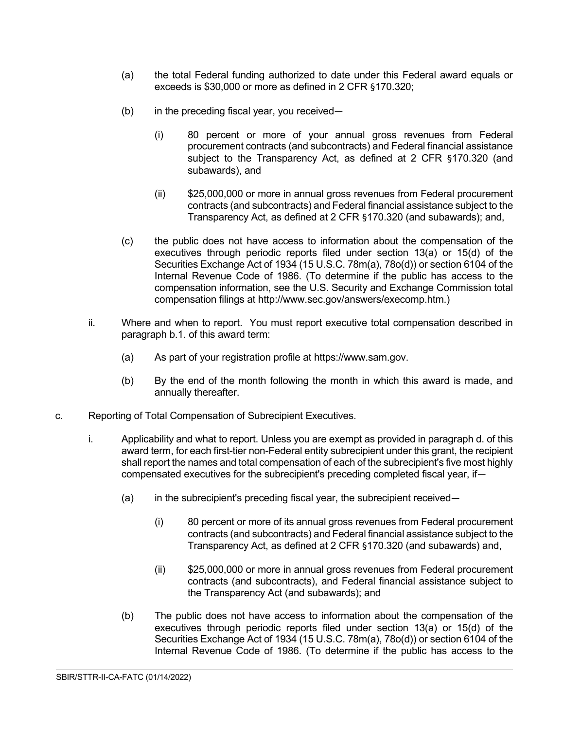- (a) the total Federal funding authorized to date under this Federal award equals or exceeds is \$30,000 or more as defined in 2 CFR §170.320;
- (b) in the preceding fiscal year, you received—
	- (i) 80 percent or more of your annual gross revenues from Federal procurement contracts (and subcontracts) and Federal financial assistance subject to the Transparency Act, as defined at 2 CFR §170.320 (and subawards), and
	- (ii) \$25,000,000 or more in annual gross revenues from Federal procurement contracts (and subcontracts) and Federal financial assistance subject to the Transparency Act, as defined at 2 CFR §170.320 (and subawards); and,
- (c) the public does not have access to information about the compensation of the executives through periodic reports filed under section 13(a) or 15(d) of the Securities Exchange Act of 1934 (15 U.S.C. 78m(a), 78o(d)) or section 6104 of the Internal Revenue Code of 1986. (To determine if the public has access to the compensation information, see the U.S. Security and Exchange Commission total compensation filings at http://www.sec.gov/answers/execomp.htm.)
- ii. Where and when to report. You must report executive total compensation described in paragraph b.1. of this award term:
	- (a) As part of your registration profile at https://www.sam.gov.
	- (b) By the end of the month following the month in which this award is made, and annually thereafter.
- c. Reporting of Total Compensation of Subrecipient Executives.
	- i. Applicability and what to report. Unless you are exempt as provided in paragraph d. of this award term, for each first-tier non-Federal entity subrecipient under this grant, the recipient shall report the names and total compensation of each of the subrecipient's five most highly compensated executives for the subrecipient's preceding completed fiscal year, if—
		- (a) in the subrecipient's preceding fiscal year, the subrecipient received—
			- (i) 80 percent or more of its annual gross revenues from Federal procurement contracts (and subcontracts) and Federal financial assistance subject to the Transparency Act, as defined at 2 CFR §170.320 (and subawards) and,
			- (ii) \$25,000,000 or more in annual gross revenues from Federal procurement contracts (and subcontracts), and Federal financial assistance subject to the Transparency Act (and subawards); and

 $\overline{a}$ 

(b) The public does not have access to information about the compensation of the executives through periodic reports filed under section 13(a) or 15(d) of the Securities Exchange Act of 1934 (15 U.S.C. 78m(a), 78o(d)) or section 6104 of the Internal Revenue Code of 1986. (To determine if the public has access to the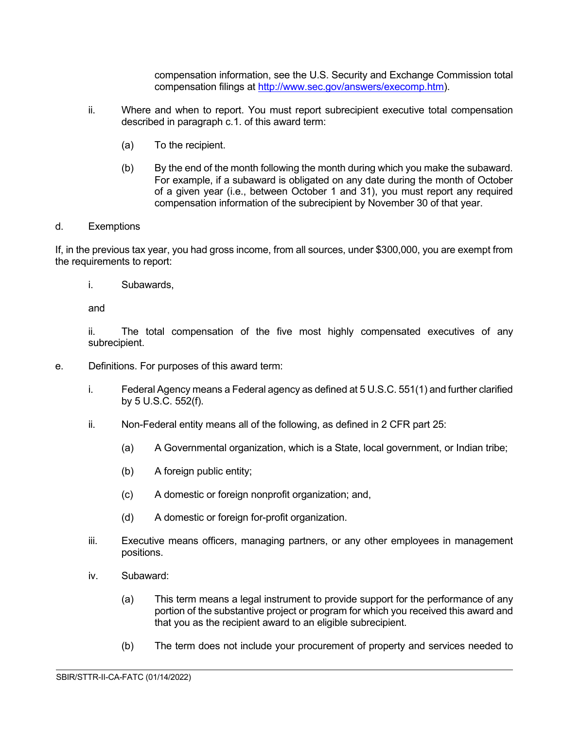compensation information, see the U.S. Security and Exchange Commission total compensation filings at [http://www.sec.gov/answers/execomp.htm\)](http://www.sec.gov/answers/execomp.htm).

- ii. Where and when to report. You must report subrecipient executive total compensation described in paragraph c.1. of this award term:
	- (a) To the recipient.
	- (b) By the end of the month following the month during which you make the subaward. For example, if a subaward is obligated on any date during the month of October of a given year (i.e., between October 1 and 31), you must report any required compensation information of the subrecipient by November 30 of that year.

#### d. Exemptions

If, in the previous tax year, you had gross income, from all sources, under \$300,000, you are exempt from the requirements to report:

i. Subawards,

and

ii. The total compensation of the five most highly compensated executives of any subrecipient.

- e. Definitions. For purposes of this award term:
	- i. Federal Agency means a Federal agency as defined at 5 U.S.C. 551(1) and further clarified by 5 U.S.C. 552(f).
	- ii. Non-Federal entity means all of the following, as defined in 2 CFR part 25:
		- (a) A Governmental organization, which is a State, local government, or Indian tribe;
		- (b) A foreign public entity;
		- (c) A domestic or foreign nonprofit organization; and,
		- (d) A domestic or foreign for-profit organization.
	- iii. Executive means officers, managing partners, or any other employees in management positions.
	- iv. Subaward:
		- (a) This term means a legal instrument to provide support for the performance of any portion of the substantive project or program for which you received this award and that you as the recipient award to an eligible subrecipient.
		- (b) The term does not include your procurement of property and services needed to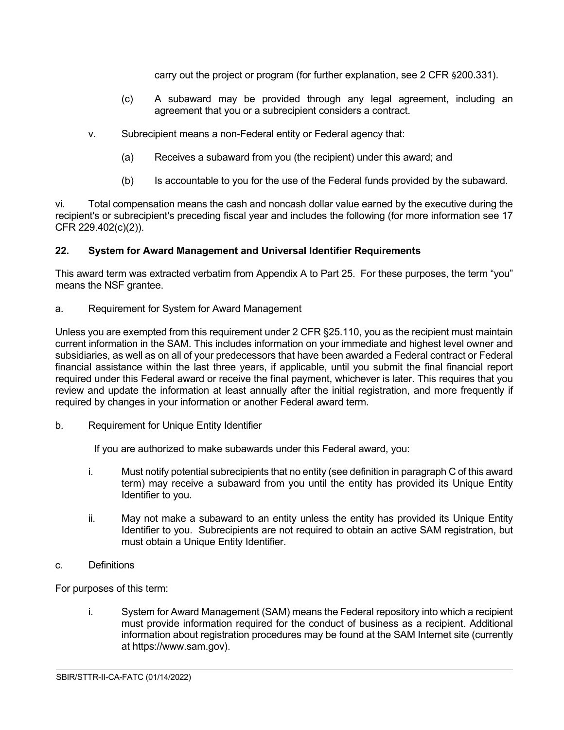carry out the project or program (for further explanation, see 2 CFR §200.331).

- (c) A subaward may be provided through any legal agreement, including an agreement that you or a subrecipient considers a contract.
- v. Subrecipient means a non-Federal entity or Federal agency that:
	- (a) Receives a subaward from you (the recipient) under this award; and
	- (b) Is accountable to you for the use of the Federal funds provided by the subaward.

vi. Total compensation means the cash and noncash dollar value earned by the executive during the recipient's or subrecipient's preceding fiscal year and includes the following (for more information see 17 CFR 229.402(c)(2)).

## <span id="page-17-0"></span>**22. System for Award Management and Universal Identifier Requirements**

This award term was extracted verbatim from Appendix A to Part 25. For these purposes, the term "you" means the NSF grantee.

a. Requirement for System for Award Management

Unless you are exempted from this requirement under 2 CFR §25.110, you as the recipient must maintain current information in the SAM. This includes information on your immediate and highest level owner and subsidiaries, as well as on all of your predecessors that have been awarded a Federal contract or Federal financial assistance within the last three years, if applicable, until you submit the final financial report required under this Federal award or receive the final payment, whichever is later. This requires that you review and update the information at least annually after the initial registration, and more frequently if required by changes in your information or another Federal award term.

b. Requirement for Unique Entity Identifier

If you are authorized to make subawards under this Federal award, you:

- i. Must notify potential subrecipients that no entity (see definition in paragraph C of this award term) may receive a subaward from you until the entity has provided its Unique Entity Identifier to you.
- ii. May not make a subaward to an entity unless the entity has provided its Unique Entity Identifier to you. Subrecipients are not required to obtain an active SAM registration, but must obtain a Unique Entity Identifier.
- c. Definitions

For purposes of this term:

i. System for Award Management (SAM) means the Federal repository into which a recipient must provide information required for the conduct of business as a recipient. Additional information about registration procedures may be found at the SAM Internet site (currently at https://www.sam.gov).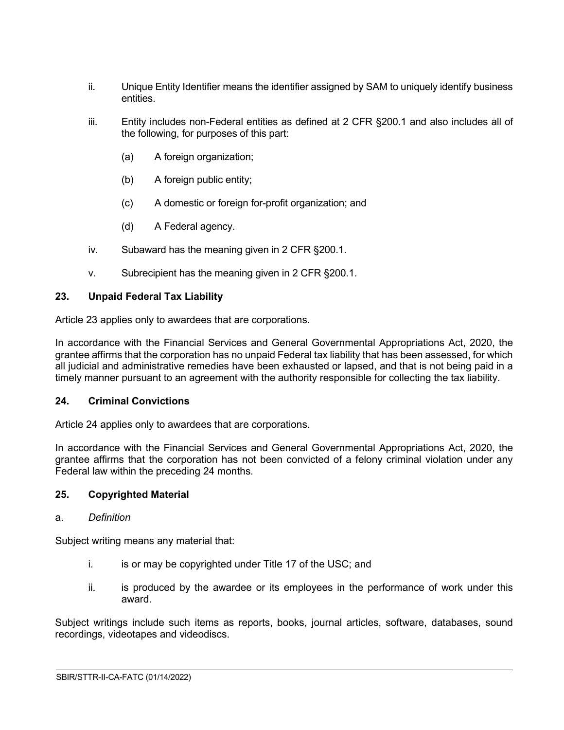- ii. Unique Entity Identifier means the identifier assigned by SAM to uniquely identify business entities.
- iii. Entity includes non-Federal entities as defined at 2 CFR §200.1 and also includes all of the following, for purposes of this part:
	- (a) A foreign organization;
	- (b) A foreign public entity;
	- (c) A domestic or foreign for-profit organization; and
	- (d) A Federal agency.
- iv. Subaward has the meaning given in 2 CFR §200.1.
- v. Subrecipient has the meaning given in 2 CFR §200.1.

## <span id="page-18-0"></span>**23. Unpaid Federal Tax Liability**

Article 23 applies only to awardees that are corporations.

In accordance with the Financial Services and General Governmental Appropriations Act, 2020, the grantee affirms that the corporation has no unpaid Federal tax liability that has been assessed, for which all judicial and administrative remedies have been exhausted or lapsed, and that is not being paid in a timely manner pursuant to an agreement with the authority responsible for collecting the tax liability.

### <span id="page-18-1"></span>**24. Criminal Convictions**

Article 24 applies only to awardees that are corporations.

In accordance with the Financial Services and General Governmental Appropriations Act, 2020, the grantee affirms that the corporation has not been convicted of a felony criminal violation under any Federal law within the preceding 24 months.

### <span id="page-18-2"></span>**25. Copyrighted Material**

### a. *Definition*

Subject writing means any material that:

- i. is or may be copyrighted under Title 17 of the USC; and
- ii. is produced by the awardee or its employees in the performance of work under this award.

 $\overline{a}$ 

Subject writings include such items as reports, books, journal articles, software, databases, sound recordings, videotapes and videodiscs.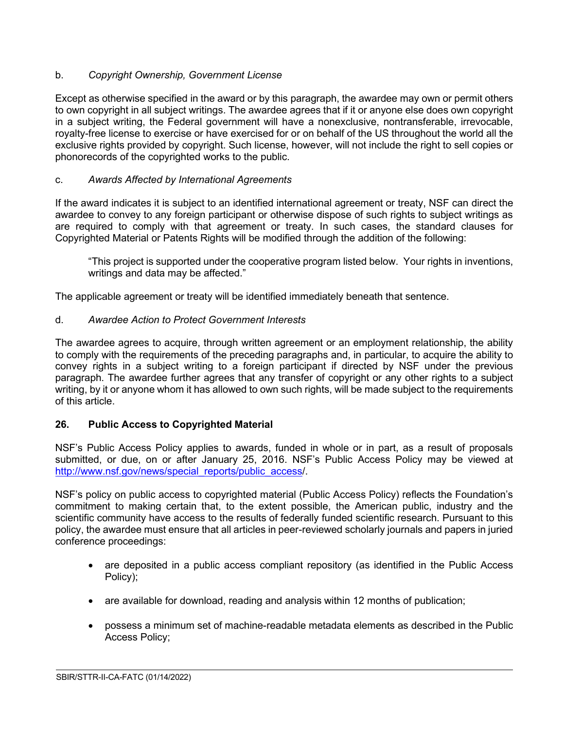## b. *Copyright Ownership, Government License*

Except as otherwise specified in the award or by this paragraph, the awardee may own or permit others to own copyright in all subject writings. The awardee agrees that if it or anyone else does own copyright in a subject writing, the Federal government will have a nonexclusive, nontransferable, irrevocable, royalty-free license to exercise or have exercised for or on behalf of the US throughout the world all the exclusive rights provided by copyright. Such license, however, will not include the right to sell copies or phonorecords of the copyrighted works to the public.

## c. *Awards Affected by International Agreements*

If the award indicates it is subject to an identified international agreement or treaty, NSF can direct the awardee to convey to any foreign participant or otherwise dispose of such rights to subject writings as are required to comply with that agreement or treaty. In such cases, the standard clauses for Copyrighted Material or Patents Rights will be modified through the addition of the following:

"This project is supported under the cooperative program listed below. Your rights in inventions, writings and data may be affected."

The applicable agreement or treaty will be identified immediately beneath that sentence.

## d. *Awardee Action to Protect Government Interests*

The awardee agrees to acquire, through written agreement or an employment relationship, the ability to comply with the requirements of the preceding paragraphs and, in particular, to acquire the ability to convey rights in a subject writing to a foreign participant if directed by NSF under the previous paragraph. The awardee further agrees that any transfer of copyright or any other rights to a subject writing, by it or anyone whom it has allowed to own such rights, will be made subject to the requirements of this article.

## <span id="page-19-0"></span>**26. Public Access to Copyrighted Material**

NSF's Public Access Policy applies to awards, funded in whole or in part, as a result of proposals submitted, or due, on or after January 25, 2016. NSF's Public Access Policy may be viewed at [http://www.nsf.gov/news/special\\_reports/public\\_access/](http://www.nsf.gov/news/special_reports/public_access).

NSF's policy on public access to copyrighted material (Public Access Policy) reflects the Foundation's commitment to making certain that, to the extent possible, the American public, industry and the scientific community have access to the results of federally funded scientific research. Pursuant to this policy, the awardee must ensure that all articles in peer-reviewed scholarly journals and papers in juried conference proceedings:

- are deposited in a public access compliant repository (as identified in the Public Access Policy);
- are available for download, reading and analysis within 12 months of publication;
- possess a minimum set of machine-readable metadata elements as described in the Public Access Policy;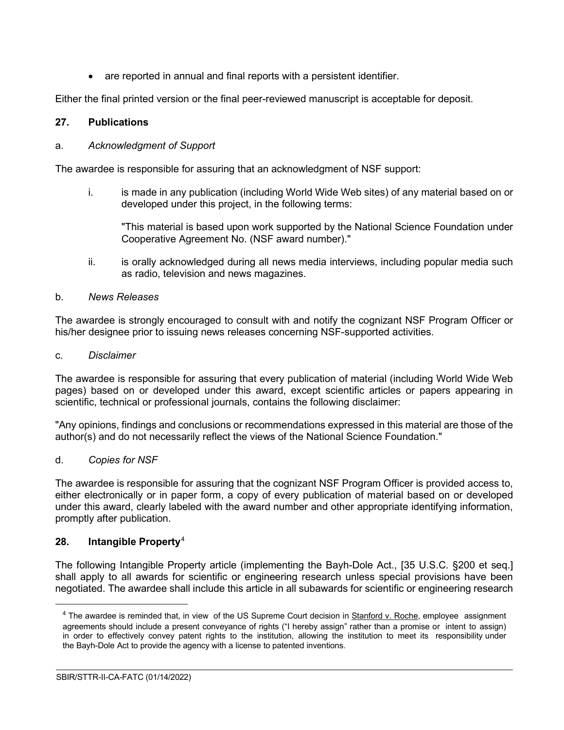are reported in annual and final reports with a persistent identifier.

Either the final printed version or the final peer-reviewed manuscript is acceptable for deposit.

## <span id="page-20-0"></span>**27. Publications**

### a. *Acknowledgment of Support*

The awardee is responsible for assuring that an acknowledgment of NSF support:

i. is made in any publication (including World Wide Web sites) of any material based on or developed under this project, in the following terms:

"This material is based upon work supported by the National Science Foundation under Cooperative Agreement No. (NSF award number)."

ii. is orally acknowledged during all news media interviews, including popular media such as radio, television and news magazines.

## b. *News Releases*

The awardee is strongly encouraged to consult with and notify the cognizant NSF Program Officer or his/her designee prior to issuing news releases concerning NSF-supported activities.

### c. *Disclaimer*

The awardee is responsible for assuring that every publication of material (including World Wide Web pages) based on or developed under this award, except scientific articles or papers appearing in scientific, technical or professional journals, contains the following disclaimer:

"Any opinions, findings and conclusions or recommendations expressed in this material are those of the author(s) and do not necessarily reflect the views of the National Science Foundation."

### d. *Copies for NSF*

The awardee is responsible for assuring that the cognizant NSF Program Officer is provided access to, either electronically or in paper form, a copy of every publication of material based on or developed under this award, clearly labeled with the award number and other appropriate identifying information, promptly after publication.

## <span id="page-20-1"></span>**28. Intangible Property**[4](#page-20-2)

The following Intangible Property article (implementing the Bayh-Dole Act., [35 U.S.C. §200 et seq.] shall apply to all awards for scientific or engineering research unless special provisions have been negotiated. The awardee shall include this article in all subawards for scientific or engineering research

<span id="page-20-2"></span> $4$  The awardee is reminded that, in view of the US Supreme Court decision in Stanford v. Roche, employee assignment agreements should include a present conveyance of rights ("I hereby assign" rather than a promise or intent to assign) in order to effectively convey patent rights to the institution, allowing the institution to meet its responsibility under the Bayh-Dole Act to provide the agency with a license to patented inventions.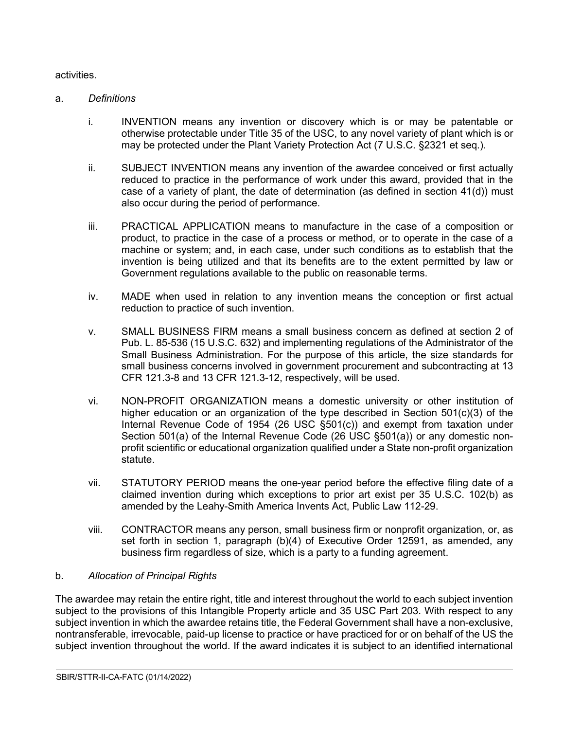#### activities.

#### a. *Definitions*

- i. INVENTION means any invention or discovery which is or may be patentable or otherwise protectable under Title 35 of the USC, to any novel variety of plant which is or may be protected under the Plant Variety Protection Act (7 U.S.C. §2321 et seq.).
- ii. SUBJECT INVENTION means any invention of the awardee conceived or first actually reduced to practice in the performance of work under this award, provided that in the case of a variety of plant, the date of determination (as defined in section 41(d)) must also occur during the period of performance.
- iii. PRACTICAL APPLICATION means to manufacture in the case of a composition or product, to practice in the case of a process or method, or to operate in the case of a machine or system; and, in each case, under such conditions as to establish that the invention is being utilized and that its benefits are to the extent permitted by law or Government regulations available to the public on reasonable terms.
- iv. MADE when used in relation to any invention means the conception or first actual reduction to practice of such invention.
- v. SMALL BUSINESS FIRM means a small business concern as defined at section 2 of Pub. L. 85-536 (15 U.S.C. 632) and implementing regulations of the Administrator of the Small Business Administration. For the purpose of this article, the size standards for small business concerns involved in government procurement and subcontracting at 13 CFR 121.3-8 and 13 CFR 121.3-12, respectively, will be used.
- vi. NON-PROFIT ORGANIZATION means a domestic university or other institution of higher education or an organization of the type described in Section  $501(c)(3)$  of the Internal Revenue Code of 1954 (26 USC §501(c)) and exempt from taxation under Section 501(a) of the Internal Revenue Code (26 USC §501(a)) or any domestic nonprofit scientific or educational organization qualified under a State non-profit organization statute.
- vii. STATUTORY PERIOD means the one-year period before the effective filing date of a claimed invention during which exceptions to prior art exist per 35 U.S.C. 102(b) as amended by the Leahy-Smith America Invents Act, Public Law 112-29.
- viii. CONTRACTOR means any person, small business firm or nonprofit organization, or, as set forth in section 1, paragraph (b)(4) of Executive Order 12591, as amended, any business firm regardless of size, which is a party to a funding agreement.

 $\overline{a}$ 

### b. *Allocation of Principal Rights*

The awardee may retain the entire right, title and interest throughout the world to each subject invention subject to the provisions of this Intangible Property article and 35 USC Part 203. With respect to any subject invention in which the awardee retains title, the Federal Government shall have a non-exclusive, nontransferable, irrevocable, paid-up license to practice or have practiced for or on behalf of the US the subject invention throughout the world. If the award indicates it is subject to an identified international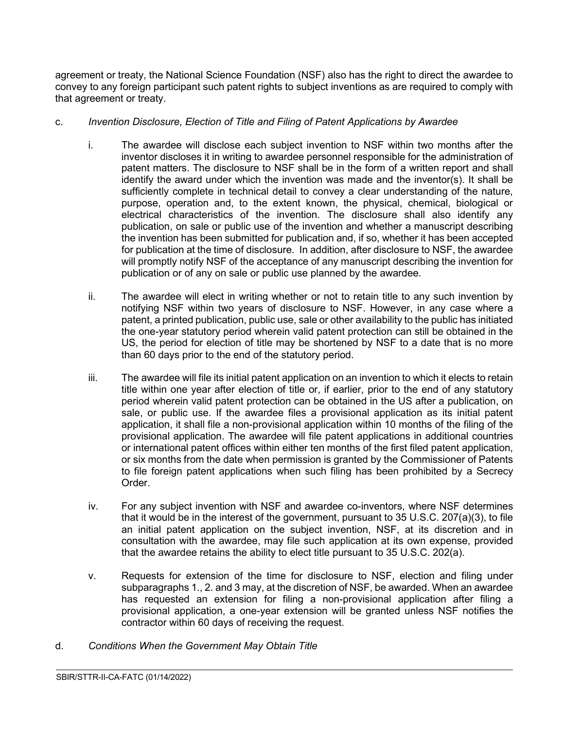agreement or treaty, the National Science Foundation (NSF) also has the right to direct the awardee to convey to any foreign participant such patent rights to subject inventions as are required to comply with that agreement or treaty.

### c. *Invention Disclosure, Election of Title and Filing of Patent Applications by Awardee*

- i. The awardee will disclose each subject invention to NSF within two months after the inventor discloses it in writing to awardee personnel responsible for the administration of patent matters. The disclosure to NSF shall be in the form of a written report and shall identify the award under which the invention was made and the inventor(s). It shall be sufficiently complete in technical detail to convey a clear understanding of the nature, purpose, operation and, to the extent known, the physical, chemical, biological or electrical characteristics of the invention. The disclosure shall also identify any publication, on sale or public use of the invention and whether a manuscript describing the invention has been submitted for publication and, if so, whether it has been accepted for publication at the time of disclosure. In addition, after disclosure to NSF, the awardee will promptly notify NSF of the acceptance of any manuscript describing the invention for publication or of any on sale or public use planned by the awardee.
- ii. The awardee will elect in writing whether or not to retain title to any such invention by notifying NSF within two years of disclosure to NSF. However, in any case where a patent, a printed publication, public use, sale or other availability to the public has initiated the one-year statutory period wherein valid patent protection can still be obtained in the US, the period for election of title may be shortened by NSF to a date that is no more than 60 days prior to the end of the statutory period.
- iii. The awardee will file its initial patent application on an invention to which it elects to retain title within one year after election of title or, if earlier, prior to the end of any statutory period wherein valid patent protection can be obtained in the US after a publication, on sale, or public use. If the awardee files a provisional application as its initial patent application, it shall file a non-provisional application within 10 months of the filing of the provisional application. The awardee will file patent applications in additional countries or international patent offices within either ten months of the first filed patent application, or six months from the date when permission is granted by the Commissioner of Patents to file foreign patent applications when such filing has been prohibited by a Secrecy Order.
- iv. For any subject invention with NSF and awardee co-inventors, where NSF determines that it would be in the interest of the government, pursuant to 35 U.S.C. 207(a)(3), to file an initial patent application on the subject invention, NSF, at its discretion and in consultation with the awardee, may file such application at its own expense, provided that the awardee retains the ability to elect title pursuant to 35 U.S.C. 202(a).
- v. Requests for extension of the time for disclosure to NSF, election and filing under subparagraphs 1., 2. and 3 may, at the discretion of NSF, be awarded. When an awardee has requested an extension for filing a non-provisional application after filing a provisional application, a one-year extension will be granted unless NSF notifies the contractor within 60 days of receiving the request.

 $\overline{a}$ 

d. *Conditions When the Government May Obtain Title*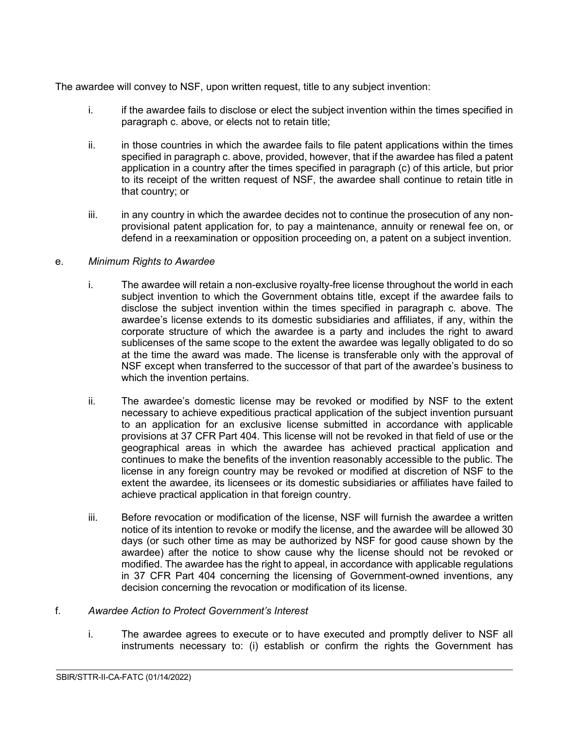The awardee will convey to NSF, upon written request, title to any subject invention:

- i. if the awardee fails to disclose or elect the subject invention within the times specified in paragraph c. above, or elects not to retain title;
- ii. in those countries in which the awardee fails to file patent applications within the times specified in paragraph c. above, provided, however, that if the awardee has filed a patent application in a country after the times specified in paragraph (c) of this article, but prior to its receipt of the written request of NSF, the awardee shall continue to retain title in that country; or
- iii. in any country in which the awardee decides not to continue the prosecution of any nonprovisional patent application for, to pay a maintenance, annuity or renewal fee on, or defend in a reexamination or opposition proceeding on, a patent on a subject invention.

## e. *Minimum Rights to Awardee*

- i. The awardee will retain a non-exclusive royalty-free license throughout the world in each subject invention to which the Government obtains title, except if the awardee fails to disclose the subject invention within the times specified in paragraph c. above. The awardee's license extends to its domestic subsidiaries and affiliates, if any, within the corporate structure of which the awardee is a party and includes the right to award sublicenses of the same scope to the extent the awardee was legally obligated to do so at the time the award was made. The license is transferable only with the approval of NSF except when transferred to the successor of that part of the awardee's business to which the invention pertains.
- ii. The awardee's domestic license may be revoked or modified by NSF to the extent necessary to achieve expeditious practical application of the subject invention pursuant to an application for an exclusive license submitted in accordance with applicable provisions at 37 CFR Part 404. This license will not be revoked in that field of use or the geographical areas in which the awardee has achieved practical application and continues to make the benefits of the invention reasonably accessible to the public. The license in any foreign country may be revoked or modified at discretion of NSF to the extent the awardee, its licensees or its domestic subsidiaries or affiliates have failed to achieve practical application in that foreign country.
- iii. Before revocation or modification of the license, NSF will furnish the awardee a written notice of its intention to revoke or modify the license, and the awardee will be allowed 30 days (or such other time as may be authorized by NSF for good cause shown by the awardee) after the notice to show cause why the license should not be revoked or modified. The awardee has the right to appeal, in accordance with applicable regulations in 37 CFR Part 404 concerning the licensing of Government-owned inventions, any decision concerning the revocation or modification of its license.

### f. *Awardee Action to Protect Government's Interest*

i. The awardee agrees to execute or to have executed and promptly deliver to NSF all instruments necessary to: (i) establish or confirm the rights the Government has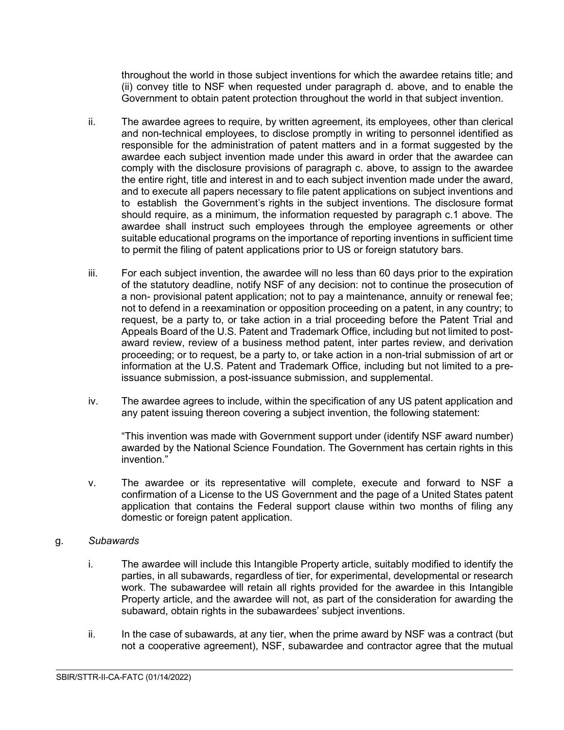throughout the world in those subject inventions for which the awardee retains title; and (ii) convey title to NSF when requested under paragraph d. above, and to enable the Government to obtain patent protection throughout the world in that subject invention.

- ii. The awardee agrees to require, by written agreement, its employees, other than clerical and non-technical employees, to disclose promptly in writing to personnel identified as responsible for the administration of patent matters and in a format suggested by the awardee each subject invention made under this award in order that the awardee can comply with the disclosure provisions of paragraph c. above, to assign to the awardee the entire right, title and interest in and to each subject invention made under the award, and to execute all papers necessary to file patent applications on subject inventions and to establish the Government's rights in the subject inventions. The disclosure format should require, as a minimum, the information requested by paragraph c.1 above. The awardee shall instruct such employees through the employee agreements or other suitable educational programs on the importance of reporting inventions in sufficient time to permit the filing of patent applications prior to US or foreign statutory bars.
- iii. For each subject invention, the awardee will no less than 60 days prior to the expiration of the statutory deadline, notify NSF of any decision: not to continue the prosecution of a non- provisional patent application; not to pay a maintenance, annuity or renewal fee; not to defend in a reexamination or opposition proceeding on a patent, in any country; to request, be a party to, or take action in a trial proceeding before the Patent Trial and Appeals Board of the U.S. Patent and Trademark Office, including but not limited to postaward review, review of a business method patent, inter partes review, and derivation proceeding; or to request, be a party to, or take action in a non-trial submission of art or information at the U.S. Patent and Trademark Office, including but not limited to a preissuance submission, a post-issuance submission, and supplemental.
- iv. The awardee agrees to include, within the specification of any US patent application and any patent issuing thereon covering a subject invention, the following statement:

"This invention was made with Government support under (identify NSF award number) awarded by the National Science Foundation. The Government has certain rights in this invention."

v. The awardee or its representative will complete, execute and forward to NSF a confirmation of a License to the US Government and the page of a United States patent application that contains the Federal support clause within two months of filing any domestic or foreign patent application.

### g. *Subawards*

- i. The awardee will include this Intangible Property article, suitably modified to identify the parties, in all subawards, regardless of tier, for experimental, developmental or research work. The subawardee will retain all rights provided for the awardee in this Intangible Property article, and the awardee will not, as part of the consideration for awarding the subaward, obtain rights in the subawardees' subject inventions.
- ii. In the case of subawards, at any tier, when the prime award by NSF was a contract (but not a cooperative agreement), NSF, subawardee and contractor agree that the mutual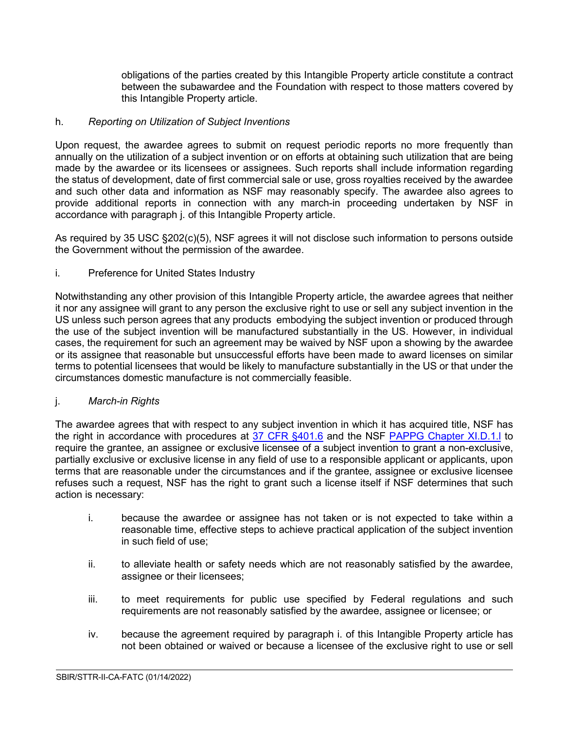obligations of the parties created by this Intangible Property article constitute a contract between the subawardee and the Foundation with respect to those matters covered by this Intangible Property article.

### h. *Reporting on Utilization of Subject Inventions*

Upon request, the awardee agrees to submit on request periodic reports no more frequently than annually on the utilization of a subject invention or on efforts at obtaining such utilization that are being made by the awardee or its licensees or assignees. Such reports shall include information regarding the status of development, date of first commercial sale or use, gross royalties received by the awardee and such other data and information as NSF may reasonably specify. The awardee also agrees to provide additional reports in connection with any march-in proceeding undertaken by NSF in accordance with paragraph j. of this Intangible Property article.

As required by 35 USC §202(c)(5), NSF agrees it will not disclose such information to persons outside the Government without the permission of the awardee.

## i. Preference for United States Industry

Notwithstanding any other provision of this Intangible Property article, the awardee agrees that neither it nor any assignee will grant to any person the exclusive right to use or sell any subject invention in the US unless such person agrees that any products embodying the subject invention or produced through the use of the subject invention will be manufactured substantially in the US. However, in individual cases, the requirement for such an agreement may be waived by NSF upon a showing by the awardee or its assignee that reasonable but unsuccessful efforts have been made to award licenses on similar terms to potential licensees that would be likely to manufacture substantially in the US or that under the circumstances domestic manufacture is not commercially feasible.

### j. *March-in Rights*

The awardee agrees that with respect to any subject invention in which it has acquired title, NSF has the right in accordance with procedures at [37 CFR §401.6](http://www.access.gpo.gov/nara/cfr/waisidx_06/37cfr401_06.html) and the NSF [PAPPG Chapter XI.D.1.l](https://www.nsf.gov/pubs/policydocs/pappg22_1/pappg_11.jsp#XID1) to require the grantee, an assignee or exclusive licensee of a subject invention to grant a non-exclusive, partially exclusive or exclusive license in any field of use to a responsible applicant or applicants, upon terms that are reasonable under the circumstances and if the grantee, assignee or exclusive licensee refuses such a request, NSF has the right to grant such a license itself if NSF determines that such action is necessary:

- i. because the awardee or assignee has not taken or is not expected to take within a reasonable time, effective steps to achieve practical application of the subject invention in such field of use;
- ii. to alleviate health or safety needs which are not reasonably satisfied by the awardee, assignee or their licensees;
- iii. to meet requirements for public use specified by Federal regulations and such requirements are not reasonably satisfied by the awardee, assignee or licensee; or
- iv. because the agreement required by paragraph i. of this Intangible Property article has not been obtained or waived or because a licensee of the exclusive right to use or sell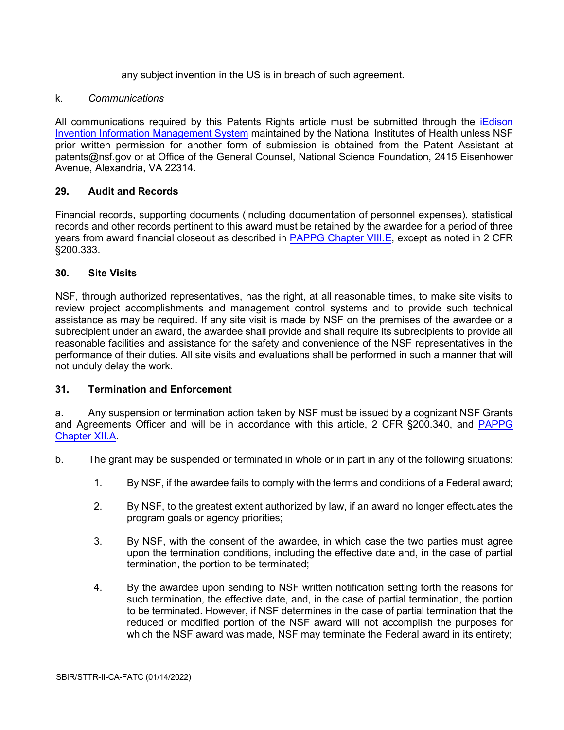any subject invention in the US is in breach of such agreement.

### k. *Communications*

All communications required by this Patents Rights article must be submitted through the [iEdison](https://public.era.nih.gov/iedison/public/login.do?TYPE=33554433&REALMOID=06-dc4d00e8-1464-45e1-937f-0525407c30fd&GUID&SMAUTHREASON=0&METHOD=GET&SMAGENTNAME=-SM-938PYmoLVb4VrDeXo04LZUDVDvc%2b3899ByInEAjuSUvWNIGfB2zRpWiCivYGCogG&TARGET=-SM-http%3a%2f%2fpublic%2eera%2enih%2egov%2fiedison)  [Invention Information Management System](https://public.era.nih.gov/iedison/public/login.do?TYPE=33554433&REALMOID=06-dc4d00e8-1464-45e1-937f-0525407c30fd&GUID&SMAUTHREASON=0&METHOD=GET&SMAGENTNAME=-SM-938PYmoLVb4VrDeXo04LZUDVDvc%2b3899ByInEAjuSUvWNIGfB2zRpWiCivYGCogG&TARGET=-SM-http%3a%2f%2fpublic%2eera%2enih%2egov%2fiedison) maintained by the National Institutes of Health unless NSF prior written permission for another form of submission is obtained from the Patent Assistant at patents@nsf.gov or at Office of the General Counsel, National Science Foundation, 2415 Eisenhower Avenue, Alexandria, VA 22314.

## <span id="page-26-0"></span>**29. Audit and Records**

Financial records, supporting documents (including documentation of personnel expenses), statistical records and other records pertinent to this award must be retained by the awardee for a period of three years from award financial closeout as described in [PAPPG Chapter VIII.E,](https://www.nsf.gov/pubs/policydocs/pappg22_1/pappg_8.jsp#VIIIE) except as noted in 2 CFR §200.333.

## <span id="page-26-1"></span>**30. Site Visits**

NSF, through authorized representatives, has the right, at all reasonable times, to make site visits to review project accomplishments and management control systems and to provide such technical assistance as may be required. If any site visit is made by NSF on the premises of the awardee or a subrecipient under an award, the awardee shall provide and shall require its subrecipients to provide all reasonable facilities and assistance for the safety and convenience of the NSF representatives in the performance of their duties. All site visits and evaluations shall be performed in such a manner that will not unduly delay the work.

### <span id="page-26-2"></span>**31. Termination and Enforcement**

a. Any suspension or termination action taken by NSF must be issued by a cognizant NSF Grants and Agreements Officer and will be in accordance with this article, 2 CFR §200.340, and [PAPPG](https://www.nsf.gov/pubs/policydocs/pappg22_1/pappg_12.jsp#XIIA)  [Chapter XII.A.](https://www.nsf.gov/pubs/policydocs/pappg22_1/pappg_12.jsp#XIIA)

- b. The grant may be suspended or terminated in whole or in part in any of the following situations:
	- 1. By NSF, if the awardee fails to comply with the terms and conditions of a Federal award;
	- 2. By NSF, to the greatest extent authorized by law, if an award no longer effectuates the program goals or agency priorities;
	- 3. By NSF, with the consent of the awardee, in which case the two parties must agree upon the termination conditions, including the effective date and, in the case of partial termination, the portion to be terminated;
	- 4. By the awardee upon sending to NSF written notification setting forth the reasons for such termination, the effective date, and, in the case of partial termination, the portion to be terminated. However, if NSF determines in the case of partial termination that the reduced or modified portion of the NSF award will not accomplish the purposes for which the NSF award was made, NSF may terminate the Federal award in its entirety;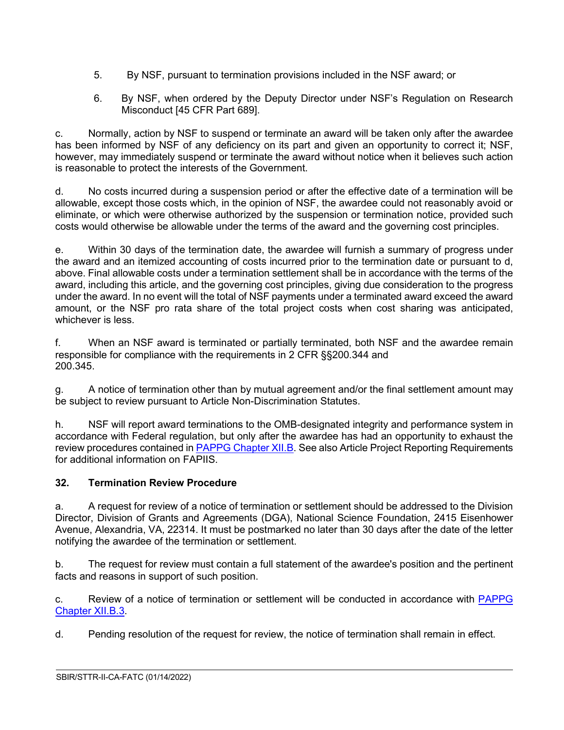- 5. By NSF, pursuant to termination provisions included in the NSF award; or
- 6. By NSF, when ordered by the Deputy Director under NSF's Regulation on Research Misconduct [45 CFR Part 689].

c. Normally, action by NSF to suspend or terminate an award will be taken only after the awardee has been informed by NSF of any deficiency on its part and given an opportunity to correct it; NSF, however, may immediately suspend or terminate the award without notice when it believes such action is reasonable to protect the interests of the Government.

d. No costs incurred during a suspension period or after the effective date of a termination will be allowable, except those costs which, in the opinion of NSF, the awardee could not reasonably avoid or eliminate, or which were otherwise authorized by the suspension or termination notice, provided such costs would otherwise be allowable under the terms of the award and the governing cost principles.

e. Within 30 days of the termination date, the awardee will furnish a summary of progress under the award and an itemized accounting of costs incurred prior to the termination date or pursuant to d, above. Final allowable costs under a termination settlement shall be in accordance with the terms of the award, including this article, and the governing cost principles, giving due consideration to the progress under the award. In no event will the total of NSF payments under a terminated award exceed the award amount, or the NSF pro rata share of the total project costs when cost sharing was anticipated, whichever is less.

f. When an NSF award is terminated or partially terminated, both NSF and the awardee remain responsible for compliance with the requirements in 2 CFR §§200.344 and 200.345.

g. A notice of termination other than by mutual agreement and/or the final settlement amount may be subject to review pursuant to Article Non-Discrimination Statutes.

h. NSF will report award terminations to the OMB-designated integrity and performance system in accordance with Federal regulation, but only after the awardee has had an opportunity to exhaust the review procedures contained in [PAPPG Chapter XII.B.](https://www.nsf.gov/pubs/policydocs/pappg22_1/pappg_12.jsp#XIIB) See also Article Project Reporting Requirements for additional information on FAPIIS.

# <span id="page-27-0"></span>**32. Termination Review Procedure**

a. A request for review of a notice of termination or settlement should be addressed to the Division Director, Division of Grants and Agreements (DGA), National Science Foundation, 2415 Eisenhower Avenue, Alexandria, VA, 22314. It must be postmarked no later than 30 days after the date of the letter notifying the awardee of the termination or settlement.

b. The request for review must contain a full statement of the awardee's position and the pertinent facts and reasons in support of such position.

c. Review of a notice of termination or settlement will be conducted in accordance with [PAPPG](https://www.nsf.gov/pubs/policydocs/pappg22_1/pappg_12.jsp#XIIB3)  [Chapter XII.B.3.](https://www.nsf.gov/pubs/policydocs/pappg22_1/pappg_12.jsp#XIIB3)

 $\overline{a}$ 

d. Pending resolution of the request for review, the notice of termination shall remain in effect.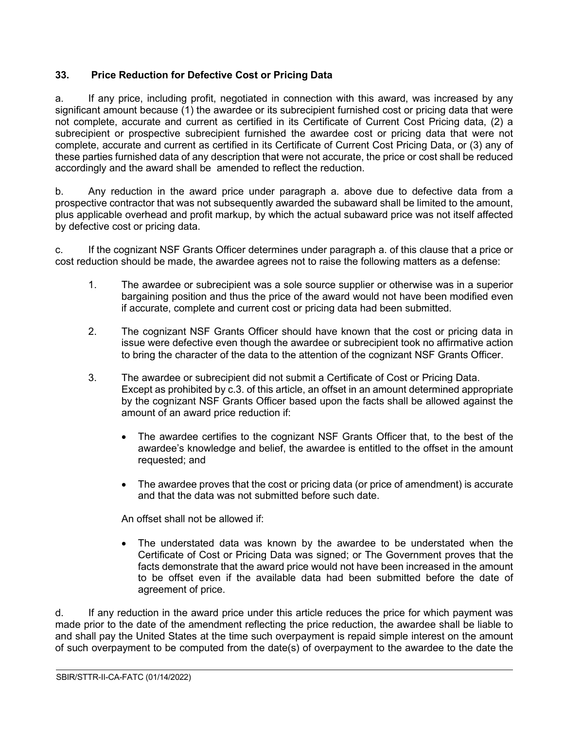## <span id="page-28-0"></span>**33. Price Reduction for Defective Cost or Pricing Data**

a. If any price, including profit, negotiated in connection with this award, was increased by any significant amount because (1) the awardee or its subrecipient furnished cost or pricing data that were not complete, accurate and current as certified in its Certificate of Current Cost Pricing data, (2) a subrecipient or prospective subrecipient furnished the awardee cost or pricing data that were not complete, accurate and current as certified in its Certificate of Current Cost Pricing Data, or (3) any of these parties furnished data of any description that were not accurate, the price or cost shall be reduced accordingly and the award shall be amended to reflect the reduction.

b. Any reduction in the award price under paragraph a. above due to defective data from a prospective contractor that was not subsequently awarded the subaward shall be limited to the amount, plus applicable overhead and profit markup, by which the actual subaward price was not itself affected by defective cost or pricing data.

c. If the cognizant NSF Grants Officer determines under paragraph a. of this clause that a price or cost reduction should be made, the awardee agrees not to raise the following matters as a defense:

- 1. The awardee or subrecipient was a sole source supplier or otherwise was in a superior bargaining position and thus the price of the award would not have been modified even if accurate, complete and current cost or pricing data had been submitted.
- 2. The cognizant NSF Grants Officer should have known that the cost or pricing data in issue were defective even though the awardee or subrecipient took no affirmative action to bring the character of the data to the attention of the cognizant NSF Grants Officer.
- 3. The awardee or subrecipient did not submit a Certificate of Cost or Pricing Data. Except as prohibited by c.3. of this article, an offset in an amount determined appropriate by the cognizant NSF Grants Officer based upon the facts shall be allowed against the amount of an award price reduction if:
	- The awardee certifies to the cognizant NSF Grants Officer that, to the best of the awardee's knowledge and belief, the awardee is entitled to the offset in the amount requested; and
	- The awardee proves that the cost or pricing data (or price of amendment) is accurate and that the data was not submitted before such date.

An offset shall not be allowed if:

• The understated data was known by the awardee to be understated when the Certificate of Cost or Pricing Data was signed; or The Government proves that the facts demonstrate that the award price would not have been increased in the amount to be offset even if the available data had been submitted before the date of agreement of price.

 $\overline{a}$ 

d. If any reduction in the award price under this article reduces the price for which payment was made prior to the date of the amendment reflecting the price reduction, the awardee shall be liable to and shall pay the United States at the time such overpayment is repaid simple interest on the amount of such overpayment to be computed from the date(s) of overpayment to the awardee to the date the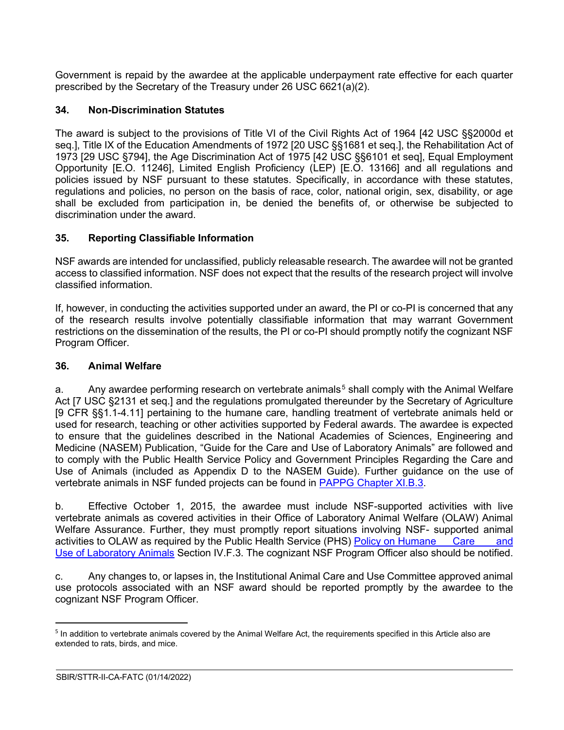Government is repaid by the awardee at the applicable underpayment rate effective for each quarter prescribed by the Secretary of the Treasury under 26 USC 6621(a)(2).

## <span id="page-29-0"></span>**34. Non-Discrimination Statutes**

The award is subject to the provisions of Title VI of the Civil Rights Act of 1964 [42 USC §§2000d et seq.], Title IX of the Education Amendments of 1972 [20 USC §§1681 et seq.], the Rehabilitation Act of 1973 [29 USC §794], the Age Discrimination Act of 1975 [42 USC §§6101 et seq], Equal Employment Opportunity [E.O. 11246], Limited English Proficiency (LEP) [E.O. 13166] and all regulations and policies issued by NSF pursuant to these statutes. Specifically, in accordance with these statutes, regulations and policies, no person on the basis of race, color, national origin, sex, disability, or age shall be excluded from participation in, be denied the benefits of, or otherwise be subjected to discrimination under the award.

## <span id="page-29-1"></span>**35. Reporting Classifiable Information**

NSF awards are intended for unclassified, publicly releasable research. The awardee will not be granted access to classified information. NSF does not expect that the results of the research project will involve classified information.

If, however, in conducting the activities supported under an award, the PI or co-PI is concerned that any of the research results involve potentially classifiable information that may warrant Government restrictions on the dissemination of the results, the PI or co-PI should promptly notify the cognizant NSF Program Officer.

### <span id="page-29-2"></span>**36. Animal Welfare**

a. Any awardee performing research on vertebrate animals<sup>[5](#page-29-3)</sup> shall comply with the Animal Welfare Act [7 USC §2131 et seq.] and the regulations promulgated thereunder by the Secretary of Agriculture [9 CFR §§1.1-4.11] pertaining to the humane care, handling treatment of vertebrate animals held or used for research, teaching or other activities supported by Federal awards. The awardee is expected to ensure that the guidelines described in the National Academies of Sciences, Engineering and Medicine (NASEM) Publication, "Guide for the Care and Use of Laboratory Animals" are followed and to comply with the Public Health Service Policy and Government Principles Regarding the Care and Use of Animals (included as Appendix D to the NASEM Guide). Further guidance on the use of vertebrate animals in NSF funded projects can be found in [PAPPG Chapter XI.B.3.](https://www.nsf.gov/pubs/policydocs/pappg22_1/pappg_11.jsp#XIB3)

b. Effective October 1, 2015, the awardee must include NSF-supported activities with live vertebrate animals as covered activities in their Office of Laboratory Animal Welfare (OLAW) Animal Welfare Assurance. Further, they must promptly report situations involving NSF- supported animal activities to OLAW as required by the Public Health Service (PHS) [Policy on Humane](https://olaw.nih.gov/policies-laws/phs-policy.htm) Care and Use of [Laboratory](https://olaw.nih.gov/policies-laws/phs-policy.htm) Animals Section IV.F.3. The cognizant NSF Program Officer also should be notified.

c. Any changes to, or lapses in, the Institutional Animal Care and Use Committee approved animal use protocols associated with an NSF award should be reported promptly by the awardee to the cognizant NSF Program Officer.

<span id="page-29-3"></span><sup>&</sup>lt;sup>5</sup> In addition to vertebrate animals covered by the Animal Welfare Act, the requirements specified in this Article also are extended to rats, birds, and mice.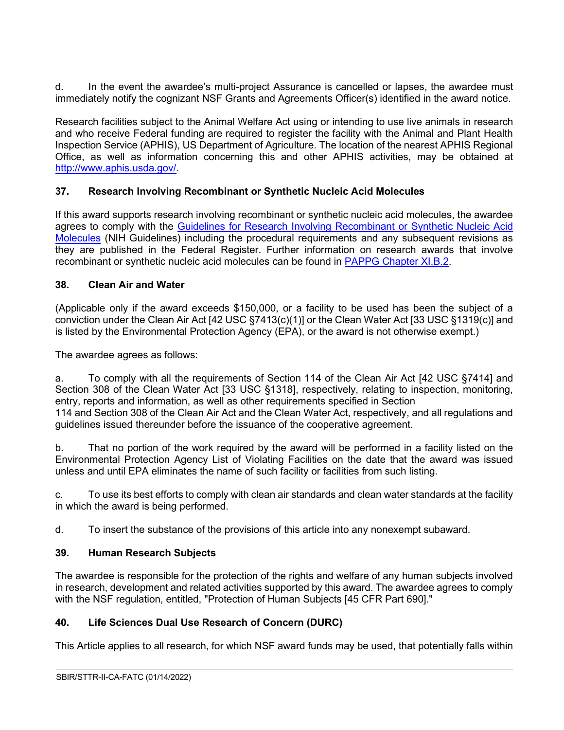d. In the event the awardee's multi-project Assurance is cancelled or lapses, the awardee must immediately notify the cognizant NSF Grants and Agreements Officer(s) identified in the award notice.

Research facilities subject to the Animal Welfare Act using or intending to use live animals in research and who receive Federal funding are required to register the facility with the Animal and Plant Health Inspection Service (APHIS), US Department of Agriculture. The location of the nearest APHIS Regional Office, as well as information concerning this and other APHIS activities, may be obtained at [http://www.aphis.usda.gov/.](http://www.aphis.usda.gov/)

## <span id="page-30-0"></span>**37. Research Involving Recombinant or Synthetic Nucleic Acid Molecules**

If this award supports research involving recombinant or synthetic nucleic acid molecules, the awardee agrees to comply with the [Guidelines for Research Involving Recombinant or Synthetic Nucleic Acid](http://osp.od.nih.gov/office-biotechnology-activities/biosafety/nih-guidelines)  [Molecules](http://osp.od.nih.gov/office-biotechnology-activities/biosafety/nih-guidelines) (NIH Guidelines) including the procedural requirements and any subsequent revisions as they are published in the Federal Register. Further information on research awards that involve recombinant or synthetic nucleic acid molecules can be found in [PAPPG Chapter XI.B.2.](https://www.nsf.gov/pubs/policydocs/pappg22_1/pappg_11.jsp#XIB2)

## <span id="page-30-1"></span>**38. Clean Air and Water**

(Applicable only if the award exceeds \$150,000, or a facility to be used has been the subject of a conviction under the Clean Air Act [42 USC §7413(c)(1)] or the Clean Water Act [33 USC §1319(c)] and is listed by the Environmental Protection Agency (EPA), or the award is not otherwise exempt.)

The awardee agrees as follows:

a. To comply with all the requirements of Section 114 of the Clean Air Act [42 USC §7414] and Section 308 of the Clean Water Act [33 USC §1318], respectively, relating to inspection, monitoring, entry, reports and information, as well as other requirements specified in Section 114 and Section 308 of the Clean Air Act and the Clean Water Act, respectively, and all regulations and guidelines issued thereunder before the issuance of the cooperative agreement.

b. That no portion of the work required by the award will be performed in a facility listed on the Environmental Protection Agency List of Violating Facilities on the date that the award was issued unless and until EPA eliminates the name of such facility or facilities from such listing.

c. To use its best efforts to comply with clean air standards and clean water standards at the facility in which the award is being performed.

d. To insert the substance of the provisions of this article into any nonexempt subaward.

## <span id="page-30-2"></span>**39. Human Research Subjects**

The awardee is responsible for the protection of the rights and welfare of any human subjects involved in research, development and related activities supported by this award. The awardee agrees to comply with the NSF regulation, entitled, "Protection of Human Subjects [45 CFR Part 690]."

# <span id="page-30-3"></span>**40. Life Sciences Dual Use Research of Concern (DURC)**

This Article applies to all research, for which NSF award funds may be used, that potentially falls within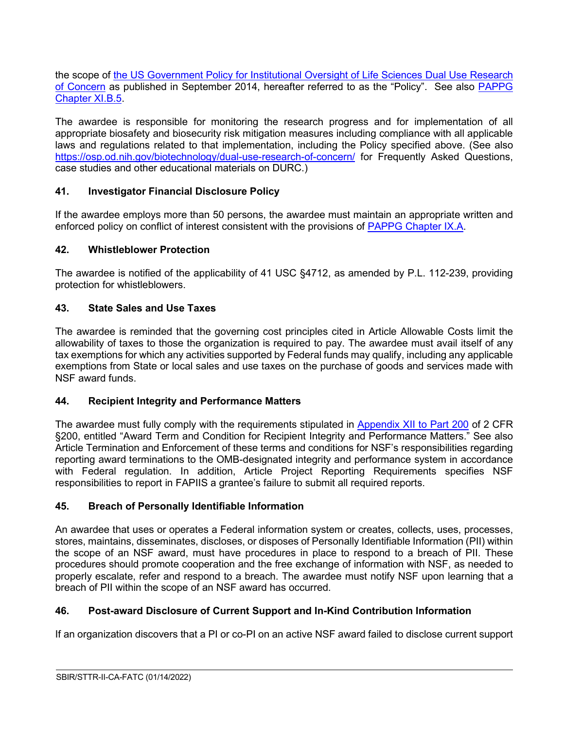the scope of [the US Government Policy for Institutional Oversight of Life Sciences Dual Use Research](http://www.phe.gov/s3/dualuse/Pages/default.aspx)  [of Concern](http://www.phe.gov/s3/dualuse/Pages/default.aspx) as published in September 2014, hereafter referred to as the "Policy". See also [PAPPG](https://www.nsf.gov/pubs/policydocs/pappg22_1/pappg_11.jsp#XIB5)  [Chapter XI.B.5.](https://www.nsf.gov/pubs/policydocs/pappg22_1/pappg_11.jsp#XIB5)

The awardee is responsible for monitoring the research progress and for implementation of all appropriate biosafety and biosecurity risk mitigation measures including compliance with all applicable laws and regulations related to that implementation, including the Policy specified above. (See also <https://osp.od.nih.gov/biotechnology/dual-use-research-of-concern/> for Frequently Asked Questions, case studies and other educational materials on DURC.)

## <span id="page-31-0"></span>**41. Investigator Financial Disclosure Policy**

If the awardee employs more than 50 persons, the awardee must maintain an appropriate written and enforced policy on conflict of interest consistent with the provisions of [PAPPG Chapter IX.A.](https://www.nsf.gov/pubs/policydocs/pappg22_1/pappg_9.jsp#IXA)

## <span id="page-31-1"></span>**42. Whistleblower Protection**

The awardee is notified of the applicability of 41 USC §4712, as amended by P.L. 112-239, providing protection for whistleblowers.

## <span id="page-31-2"></span>**43. State Sales and Use Taxes**

The awardee is reminded that the governing cost principles cited in Article Allowable Costs limit the allowability of taxes to those the organization is required to pay. The awardee must avail itself of any tax exemptions for which any activities supported by Federal funds may qualify, including any applicable exemptions from State or local sales and use taxes on the purchase of goods and services made with NSF award funds.

### <span id="page-31-3"></span>**44. Recipient Integrity and Performance Matters**

The awardee must fully comply with the requirements stipulated in [Appendix XII to Part 200](https://www.ecfr.gov/cgi-bin/text-idx?SID=704835d27377ef5213a51c149de40cab&node=2:1.1.2.2.1&rgn=div5) of 2 CFR §200, entitled "Award Term and Condition for Recipient Integrity and Performance Matters." See also Article Termination and Enforcement of these terms and conditions for NSF's responsibilities regarding reporting award terminations to the OMB-designated integrity and performance system in accordance with Federal regulation. In addition, Article Project Reporting Requirements specifies NSF responsibilities to report in FAPIIS a grantee's failure to submit all required reports.

### <span id="page-31-4"></span>**45. Breach of Personally Identifiable Information**

An awardee that uses or operates a Federal information system or creates, collects, uses, processes, stores, maintains, disseminates, discloses, or disposes of Personally Identifiable Information (PII) within the scope of an NSF award, must have procedures in place to respond to a breach of PII. These procedures should promote cooperation and the free exchange of information with NSF, as needed to properly escalate, refer and respond to a breach. The awardee must notify NSF upon learning that a breach of PII within the scope of an NSF award has occurred.

## <span id="page-31-5"></span>**46. Post-award Disclosure of Current Support and In-Kind Contribution Information**

If an organization discovers that a PI or co-PI on an active NSF award failed to disclose current support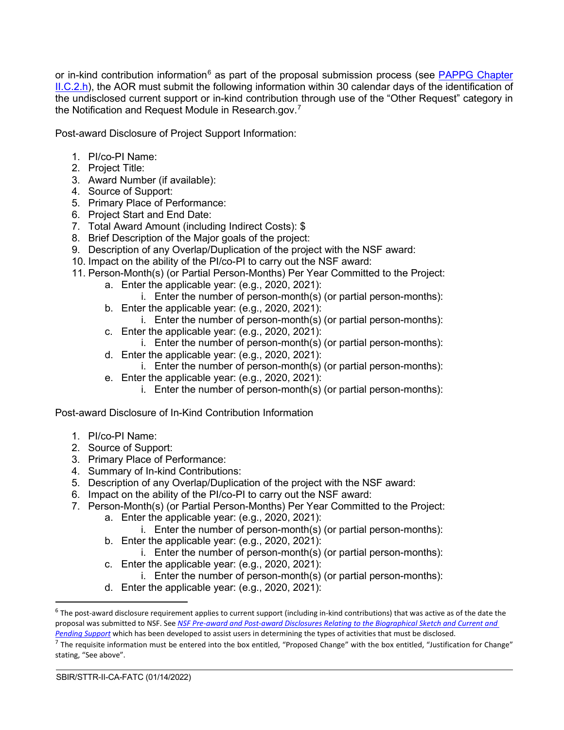or in-kind contribution information<sup>[6](#page-32-0)</sup> as part of the proposal submission process (see PAPPG Chapter [II.C.2.h\)](https://www.nsf.gov/pubs/policydocs/pappg22_1/pappg_2.jsp#IIC2h), the AOR must submit the following information within 30 calendar days of the identification of the undisclosed current support or in-kind contribution through use of the "Other Request" category in the Notification and Request Module in Research.gov.<sup>[7](#page-32-1)</sup>

Post-award Disclosure of Project Support Information:

- 1. PI/co-PI Name:
- 2. Project Title:
- 3. Award Number (if available):
- 4. Source of Support:
- 5. Primary Place of Performance:
- 6. Project Start and End Date:
- 7. Total Award Amount (including Indirect Costs): \$
- 8. Brief Description of the Major goals of the project:
- 9. Description of any Overlap/Duplication of the project with the NSF award:
- 10. Impact on the ability of the PI/co-PI to carry out the NSF award:
- 11. Person-Month(s) (or Partial Person-Months) Per Year Committed to the Project:
	- a. Enter the applicable year: (e.g., 2020, 2021):
		- i. Enter the number of person-month(s) (or partial person-months):
	- b. Enter the applicable year: (e.g., 2020, 2021):
		- i. Enter the number of person-month(s) (or partial person-months):
	- c. Enter the applicable year: (e.g., 2020, 2021):
		- i. Enter the number of person-month(s) (or partial person-months):
	- d. Enter the applicable year: (e.g., 2020, 2021):
		- i. Enter the number of person-month(s) (or partial person-months):
	- e. Enter the applicable year: (e.g., 2020, 2021):
		- i. Enter the number of person-month(s) (or partial person-months):

Post-award Disclosure of In-Kind Contribution Information

- 1. PI/co-PI Name:
- 2. Source of Support:
- 3. Primary Place of Performance:
- 4. Summary of In-kind Contributions:
- 5. Description of any Overlap/Duplication of the project with the NSF award:
- 6. Impact on the ability of the PI/co-PI to carry out the NSF award:
- 7. Person-Month(s) (or Partial Person-Months) Per Year Committed to the Project:
	- a. Enter the applicable year: (e.g., 2020, 2021):
	- i. Enter the number of person-month(s) (or partial person-months):
	- b. Enter the applicable year: (e.g., 2020, 2021):
		- i. Enter the number of person-month(s) (or partial person-months):
	- c. Enter the applicable year: (e.g., 2020, 2021):
	- i. Enter the number of person-month(s) (or partial person-months):
	- d. Enter the applicable year: (e.g., 2020, 2021):

<span id="page-32-0"></span> $6$  The post-award disclosure requirement applies to current support (including in-kind contributions) that was active as of the date the proposal was submitted to NSF. See *[NSF Pre-award and Post-award Disclosures Relating to the Biographical Sketch and Current and](https://www.nsf.gov/bfa/dias/policy/disclosures_table.jsp)  [Pending Support](https://www.nsf.gov/bfa/dias/policy/disclosures_table.jsp)* which has been developed to assist users in determining the types of activities that must be disclosed.

<span id="page-32-1"></span> $^7$  The requisite information must be entered into the box entitled, "Proposed Change" with the box entitled, "Justification for Change" stating, "See above".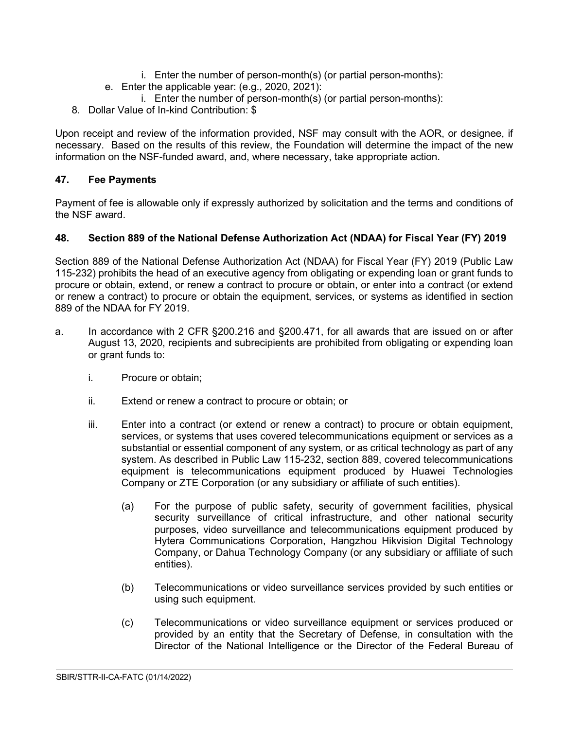- i. Enter the number of person-month(s) (or partial person-months):
- e. Enter the applicable year: (e.g., 2020, 2021):
	- i. Enter the number of person-month(s) (or partial person-months):
- 8. Dollar Value of In-kind Contribution: \$

Upon receipt and review of the information provided, NSF may consult with the AOR, or designee, if necessary. Based on the results of this review, the Foundation will determine the impact of the new information on the NSF-funded award, and, where necessary, take appropriate action.

## <span id="page-33-0"></span>**47. Fee Payments**

Payment of fee is allowable only if expressly authorized by solicitation and the terms and conditions of the NSF award.

## <span id="page-33-1"></span>**48. Section 889 of the National Defense Authorization Act (NDAA) for Fiscal Year (FY) 2019**

Section 889 of the National Defense Authorization Act (NDAA) for Fiscal Year (FY) 2019 (Public Law 115-232) prohibits the head of an executive agency from obligating or expending loan or grant funds to procure or obtain, extend, or renew a contract to procure or obtain, or enter into a contract (or extend or renew a contract) to procure or obtain the equipment, services, or systems as identified in section 889 of the NDAA for FY 2019.

- a. In accordance with 2 CFR §200.216 and §200.471, for all awards that are issued on or after August 13, 2020, recipients and subrecipients are prohibited from obligating or expending loan or grant funds to:
	- i. Procure or obtain;
	- ii. Extend or renew a contract to procure or obtain; or
	- iii. Enter into a contract (or extend or renew a contract) to procure or obtain equipment, services, or systems that uses covered telecommunications equipment or services as a substantial or essential component of any system, or as critical technology as part of any system. As described in Public Law 115-232, section 889, covered telecommunications equipment is telecommunications equipment produced by Huawei Technologies Company or ZTE Corporation (or any subsidiary or affiliate of such entities).
		- (a) For the purpose of public safety, security of government facilities, physical security surveillance of critical infrastructure, and other national security purposes, video surveillance and telecommunications equipment produced by Hytera Communications Corporation, Hangzhou Hikvision Digital Technology Company, or Dahua Technology Company (or any subsidiary or affiliate of such entities).
		- (b) Telecommunications or video surveillance services provided by such entities or using such equipment.
		- (c) Telecommunications or video surveillance equipment or services produced or provided by an entity that the Secretary of Defense, in consultation with the Director of the National Intelligence or the Director of the Federal Bureau of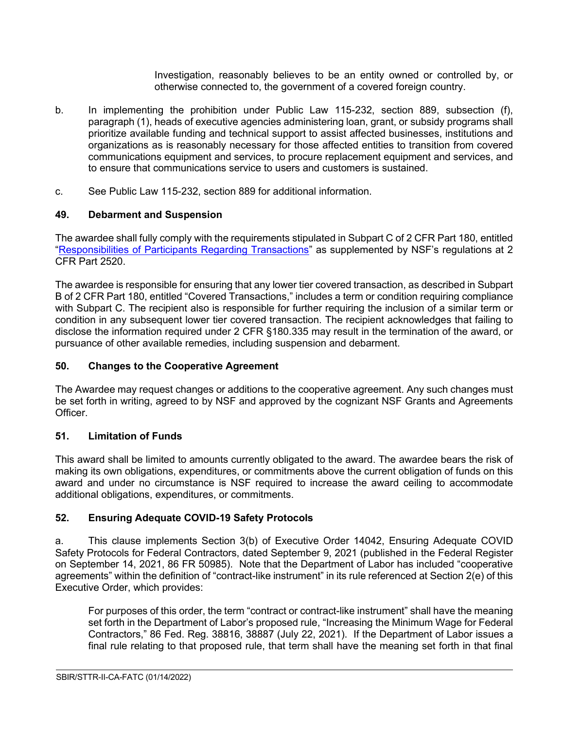Investigation, reasonably believes to be an entity owned or controlled by, or otherwise connected to, the government of a covered foreign country.

- b. In implementing the prohibition under Public Law 115-232, section 889, subsection (f), paragraph (1), heads of executive agencies administering loan, grant, or subsidy programs shall prioritize available funding and technical support to assist affected businesses, institutions and organizations as is reasonably necessary for those affected entities to transition from covered communications equipment and services, to procure replacement equipment and services, and to ensure that communications service to users and customers is sustained.
- c. See Public Law 115-232, section 889 for additional information.

## <span id="page-34-0"></span>**49. Debarment and Suspension**

The awardee shall fully comply with the requirements stipulated in Subpart C of 2 CFR Part 180, entitled ["Responsibilities of Participants Regarding Transactions"](https://www.govinfo.gov/content/pkg/CFR-2011-title2-vol1/pdf/CFR-2011-title2-vol1-part2520.pdf) as supplemented by NSF's regulations at 2 CFR Part 2520.

The awardee is responsible for ensuring that any lower tier covered transaction, as described in Subpart B of 2 CFR Part 180, entitled "Covered Transactions," includes a term or condition requiring compliance with Subpart C. The recipient also is responsible for further requiring the inclusion of a similar term or condition in any subsequent lower tier covered transaction. The recipient acknowledges that failing to disclose the information required under 2 CFR §180.335 may result in the termination of the award, or pursuance of other available remedies, including suspension and debarment.

## <span id="page-34-1"></span>**50. Changes to the Cooperative Agreement**

The Awardee may request changes or additions to the cooperative agreement. Any such changes must be set forth in writing, agreed to by NSF and approved by the cognizant NSF Grants and Agreements Officer.

## <span id="page-34-2"></span>**51. Limitation of Funds**

This award shall be limited to amounts currently obligated to the award. The awardee bears the risk of making its own obligations, expenditures, or commitments above the current obligation of funds on this award and under no circumstance is NSF required to increase the award ceiling to accommodate additional obligations, expenditures, or commitments.

## <span id="page-34-3"></span>**52. Ensuring Adequate COVID-19 Safety Protocols**

a. This clause implements Section 3(b) of Executive Order 14042, Ensuring Adequate COVID Safety Protocols for Federal Contractors, dated September 9, 2021 (published in the Federal Register on September 14, 2021, 86 FR 50985). Note that the Department of Labor has included "cooperative agreements" within the definition of "contract-like instrument" in its rule referenced at Section 2(e) of this Executive Order, which provides:

For purposes of this order, the term "contract or contract-like instrument" shall have the meaning set forth in the Department of Labor's proposed rule, "Increasing the Minimum Wage for Federal Contractors," 86 Fed. Reg. 38816, 38887 (July 22, 2021). If the Department of Labor issues a final rule relating to that proposed rule, that term shall have the meaning set forth in that final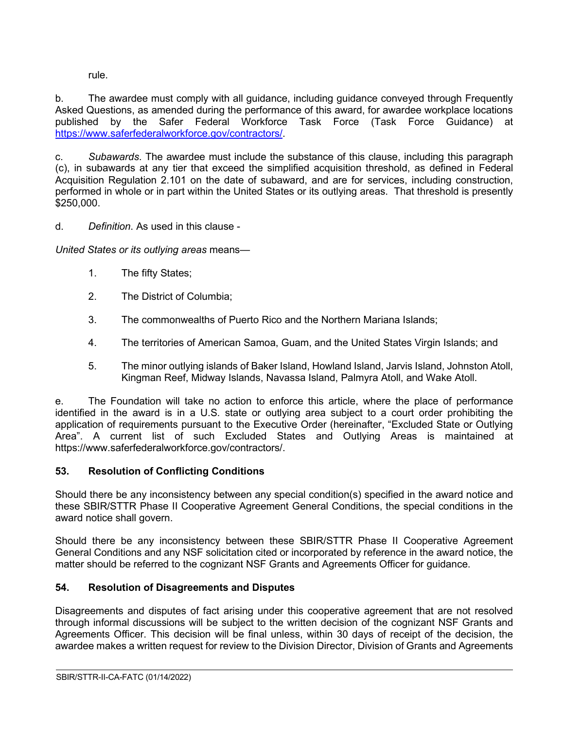rule.

b. The awardee must comply with all guidance, including guidance conveyed through Frequently Asked Questions, as amended during the performance of this award, for awardee workplace locations published by the Safer Federal Workforce Task Force (Task Force Guidance) at [https://www.saferfederalworkforce.gov/contractors/.](https://www.saferfederalworkforce.gov/contractors/)

c. *Subawards*. The awardee must include the substance of this clause, including this paragraph (c), in subawards at any tier that exceed the simplified acquisition threshold, as defined in Federal Acquisition Regulation 2.101 on the date of subaward, and are for services, including construction, performed in whole or in part within the United States or its outlying areas. That threshold is presently \$250,000.

d. *Definition*. As used in this clause -

*United States or its outlying areas* means—

- 1. The fifty States;
- 2. The District of Columbia;
- 3. The commonwealths of Puerto Rico and the Northern Mariana Islands;
- 4. The territories of American Samoa, Guam, and the United States Virgin Islands; and
- 5. The minor outlying islands of Baker Island, Howland Island, Jarvis Island, Johnston Atoll, Kingman Reef, Midway Islands, Navassa Island, Palmyra Atoll, and Wake Atoll.

e. The Foundation will take no action to enforce this article, where the place of performance identified in the award is in a U.S. state or outlying area subject to a court order prohibiting the application of requirements pursuant to the Executive Order (hereinafter, "Excluded State or Outlying Area". A current list of such Excluded States and Outlying Areas is maintained at https://www.saferfederalworkforce.gov/contractors/.

# <span id="page-35-0"></span>**53. Resolution of Conflicting Conditions**

Should there be any inconsistency between any special condition(s) specified in the award notice and these SBIR/STTR Phase II Cooperative Agreement General Conditions, the special conditions in the award notice shall govern.

Should there be any inconsistency between these SBIR/STTR Phase II Cooperative Agreement General Conditions and any NSF solicitation cited or incorporated by reference in the award notice, the matter should be referred to the cognizant NSF Grants and Agreements Officer for guidance.

# <span id="page-35-1"></span>**54. Resolution of Disagreements and Disputes**

Disagreements and disputes of fact arising under this cooperative agreement that are not resolved through informal discussions will be subject to the written decision of the cognizant NSF Grants and Agreements Officer. This decision will be final unless, within 30 days of receipt of the decision, the awardee makes a written request for review to the Division Director, Division of Grants and Agreements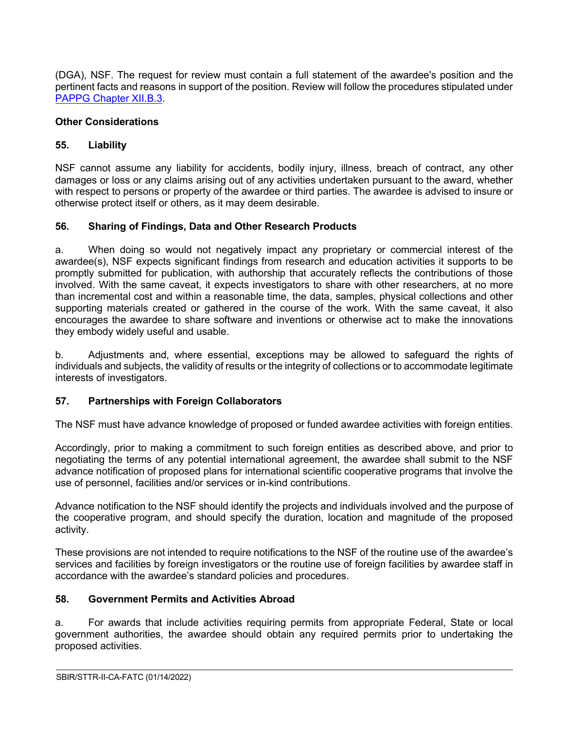(DGA), NSF. The request for review must contain a full statement of the awardee's position and the pertinent facts and reasons in support of the position. Review will follow the procedures stipulated under [PAPPG Chapter XII.B.3.](https://www.nsf.gov/pubs/policydocs/pappg22_1/pappg_12.jsp#XIIB)

#### **Other Considerations**

#### <span id="page-36-0"></span>**55. Liability**

NSF cannot assume any liability for accidents, bodily injury, illness, breach of contract, any other damages or loss or any claims arising out of any activities undertaken pursuant to the award, whether with respect to persons or property of the awardee or third parties. The awardee is advised to insure or otherwise protect itself or others, as it may deem desirable.

### <span id="page-36-1"></span>**56. Sharing of Findings, Data and Other Research Products**

a. When doing so would not negatively impact any proprietary or commercial interest of the awardee(s), NSF expects significant findings from research and education activities it supports to be promptly submitted for publication, with authorship that accurately reflects the contributions of those involved. With the same caveat, it expects investigators to share with other researchers, at no more than incremental cost and within a reasonable time, the data, samples, physical collections and other supporting materials created or gathered in the course of the work. With the same caveat, it also encourages the awardee to share software and inventions or otherwise act to make the innovations they embody widely useful and usable.

b. Adjustments and, where essential, exceptions may be allowed to safeguard the rights of individuals and subjects, the validity of results or the integrity of collections or to accommodate legitimate interests of investigators.

### <span id="page-36-2"></span>**57. Partnerships with Foreign Collaborators**

The NSF must have advance knowledge of proposed or funded awardee activities with foreign entities.

Accordingly, prior to making a commitment to such foreign entities as described above, and prior to negotiating the terms of any potential international agreement, the awardee shall submit to the NSF advance notification of proposed plans for international scientific cooperative programs that involve the use of personnel, facilities and/or services or in-kind contributions.

Advance notification to the NSF should identify the projects and individuals involved and the purpose of the cooperative program, and should specify the duration, location and magnitude of the proposed activity.

These provisions are not intended to require notifications to the NSF of the routine use of the awardee's services and facilities by foreign investigators or the routine use of foreign facilities by awardee staff in accordance with the awardee's standard policies and procedures.

### <span id="page-36-3"></span>**58. Government Permits and Activities Abroad**

a. For awards that include activities requiring permits from appropriate Federal, State or local government authorities, the awardee should obtain any required permits prior to undertaking the proposed activities.